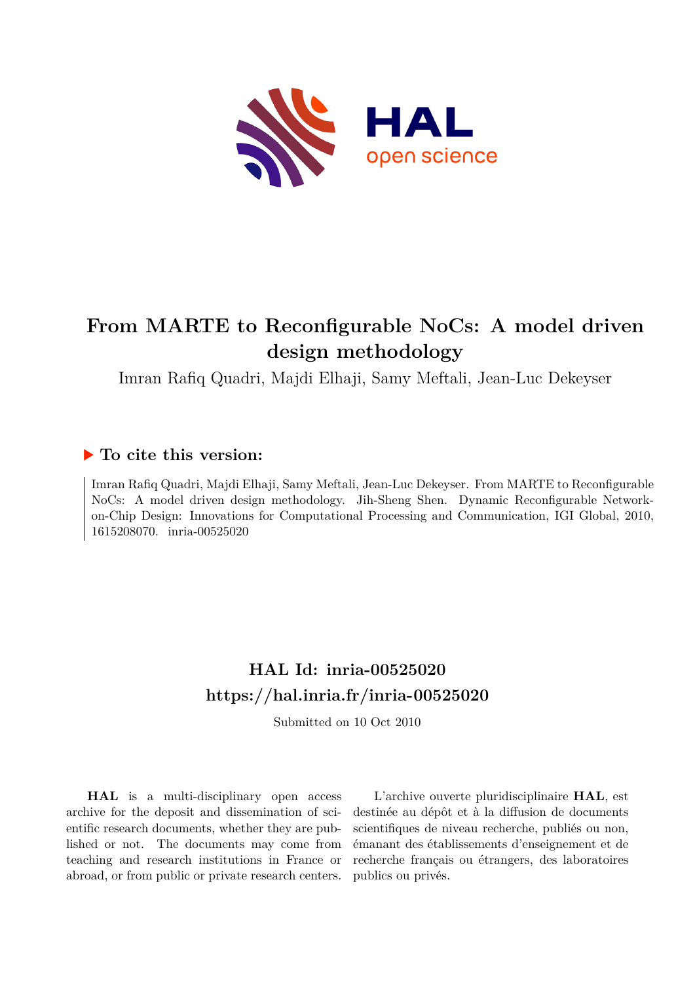

# **From MARTE to Reconfigurable NoCs: A model driven design methodology**

Imran Rafiq Quadri, Majdi Elhaji, Samy Meftali, Jean-Luc Dekeyser

# **To cite this version:**

Imran Rafiq Quadri, Majdi Elhaji, Samy Meftali, Jean-Luc Dekeyser. From MARTE to Reconfigurable NoCs: A model driven design methodology. Jih-Sheng Shen. Dynamic Reconfigurable Networkon-Chip Design: Innovations for Computational Processing and Communication, IGI Global, 2010, 1615208070. inria-00525020

# **HAL Id: inria-00525020 <https://hal.inria.fr/inria-00525020>**

Submitted on 10 Oct 2010

**HAL** is a multi-disciplinary open access archive for the deposit and dissemination of scientific research documents, whether they are published or not. The documents may come from teaching and research institutions in France or abroad, or from public or private research centers.

L'archive ouverte pluridisciplinaire **HAL**, est destinée au dépôt et à la diffusion de documents scientifiques de niveau recherche, publiés ou non, émanant des établissements d'enseignement et de recherche français ou étrangers, des laboratoires publics ou privés.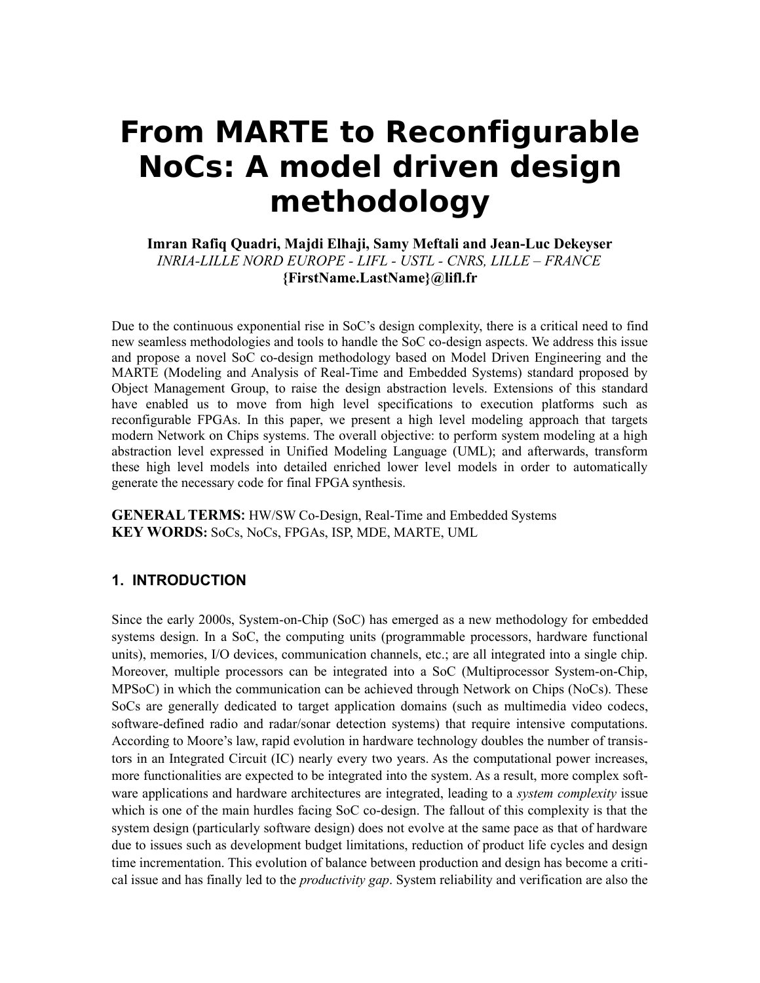# **From MARTE to Reconfigurable NoCs: A model driven design methodology**

**Imran Rafiq Quadri, Majdi Elhaji, Samy Meftali and Jean-Luc Dekeyser** *INRIA-LILLE NORD EUROPE - LIFL - USTL - CNRS, LILLE – FRANCE* **{FirstName.LastName}@lifl.fr**

Due to the continuous exponential rise in SoC's design complexity, there is a critical need to find new seamless methodologies and tools to handle the SoC co-design aspects. We address this issue and propose a novel SoC co-design methodology based on Model Driven Engineering and the MARTE (Modeling and Analysis of Real-Time and Embedded Systems) standard proposed by Object Management Group, to raise the design abstraction levels. Extensions of this standard have enabled us to move from high level specifications to execution platforms such as reconfigurable FPGAs. In this paper, we present a high level modeling approach that targets modern Network on Chips systems. The overall objective: to perform system modeling at a high abstraction level expressed in Unified Modeling Language (UML); and afterwards, transform these high level models into detailed enriched lower level models in order to automatically generate the necessary code for final FPGA synthesis.

**GENERAL TERMS:** HW/SW Co-Design, Real-Time and Embedded Systems **KEY WORDS:** SoCs, NoCs, FPGAs, ISP, MDE, MARTE, UML

#### **1. INTRODUCTION**

Since the early 2000s, System-on-Chip (SoC) has emerged as a new methodology for embedded systems design. In a SoC, the computing units (programmable processors, hardware functional units), memories, I/O devices, communication channels, etc.; are all integrated into a single chip. Moreover, multiple processors can be integrated into a SoC (Multiprocessor System-on-Chip, MPSoC) in which the communication can be achieved through Network on Chips (NoCs). These SoCs are generally dedicated to target application domains (such as multimedia video codecs, software-defined radio and radar/sonar detection systems) that require intensive computations. According to Moore's law, rapid evolution in hardware technology doubles the number of transistors in an Integrated Circuit (IC) nearly every two years. As the computational power increases, more functionalities are expected to be integrated into the system. As a result, more complex software applications and hardware architectures are integrated, leading to a *system complexity* issue which is one of the main hurdles facing SoC co-design. The fallout of this complexity is that the system design (particularly software design) does not evolve at the same pace as that of hardware due to issues such as development budget limitations, reduction of product life cycles and design time incrementation. This evolution of balance between production and design has become a critical issue and has finally led to the *productivity gap*. System reliability and verification are also the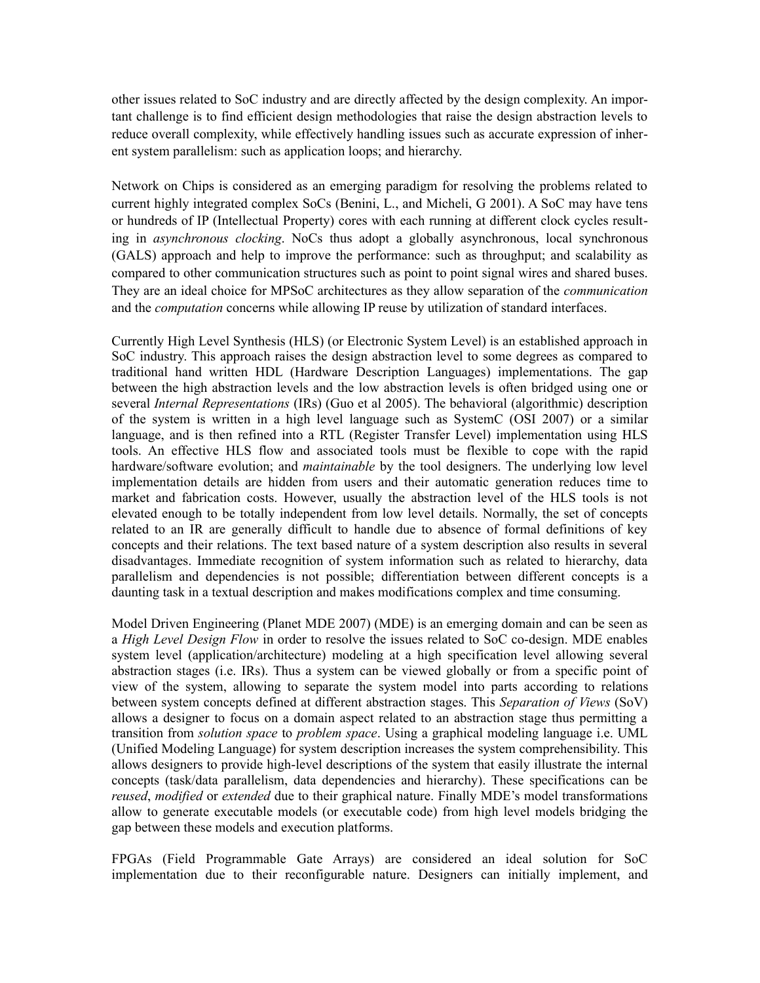other issues related to SoC industry and are directly affected by the design complexity. An important challenge is to find efficient design methodologies that raise the design abstraction levels to reduce overall complexity, while effectively handling issues such as accurate expression of inherent system parallelism: such as application loops; and hierarchy.

Network on Chips is considered as an emerging paradigm for resolving the problems related to current highly integrated complex SoCs (Benini, L., and Micheli, G 2001). A SoC may have tens or hundreds of IP (Intellectual Property) cores with each running at different clock cycles resulting in *asynchronous clocking*. NoCs thus adopt a globally asynchronous, local synchronous (GALS) approach and help to improve the performance: such as throughput; and scalability as compared to other communication structures such as point to point signal wires and shared buses. They are an ideal choice for MPSoC architectures as they allow separation of the *communication*  and the *computation* concerns while allowing IP reuse by utilization of standard interfaces.

Currently High Level Synthesis (HLS) (or Electronic System Level) is an established approach in SoC industry. This approach raises the design abstraction level to some degrees as compared to traditional hand written HDL (Hardware Description Languages) implementations. The gap between the high abstraction levels and the low abstraction levels is often bridged using one or several *Internal Representations* (IRs) (Guo et al 2005). The behavioral (algorithmic) description of the system is written in a high level language such as SystemC (OSI 2007) or a similar language, and is then refined into a RTL (Register Transfer Level) implementation using HLS tools. An effective HLS flow and associated tools must be flexible to cope with the rapid hardware/software evolution; and *maintainable* by the tool designers. The underlying low level implementation details are hidden from users and their automatic generation reduces time to market and fabrication costs. However, usually the abstraction level of the HLS tools is not elevated enough to be totally independent from low level details. Normally, the set of concepts related to an IR are generally difficult to handle due to absence of formal definitions of key concepts and their relations. The text based nature of a system description also results in several disadvantages. Immediate recognition of system information such as related to hierarchy, data parallelism and dependencies is not possible; differentiation between different concepts is a daunting task in a textual description and makes modifications complex and time consuming.

Model Driven Engineering (Planet MDE 2007) (MDE) is an emerging domain and can be seen as a *High Level Design Flow* in order to resolve the issues related to SoC co-design. MDE enables system level (application/architecture) modeling at a high specification level allowing several abstraction stages (i.e. IRs). Thus a system can be viewed globally or from a specific point of view of the system, allowing to separate the system model into parts according to relations between system concepts defined at different abstraction stages. This *Separation of Views* (SoV) allows a designer to focus on a domain aspect related to an abstraction stage thus permitting a transition from *solution space* to *problem space*. Using a graphical modeling language i.e. UML (Unified Modeling Language) for system description increases the system comprehensibility. This allows designers to provide high-level descriptions of the system that easily illustrate the internal concepts (task/data parallelism, data dependencies and hierarchy). These specifications can be *reused*, *modified* or *extended* due to their graphical nature. Finally MDE's model transformations allow to generate executable models (or executable code) from high level models bridging the gap between these models and execution platforms.

FPGAs (Field Programmable Gate Arrays) are considered an ideal solution for SoC implementation due to their reconfigurable nature. Designers can initially implement, and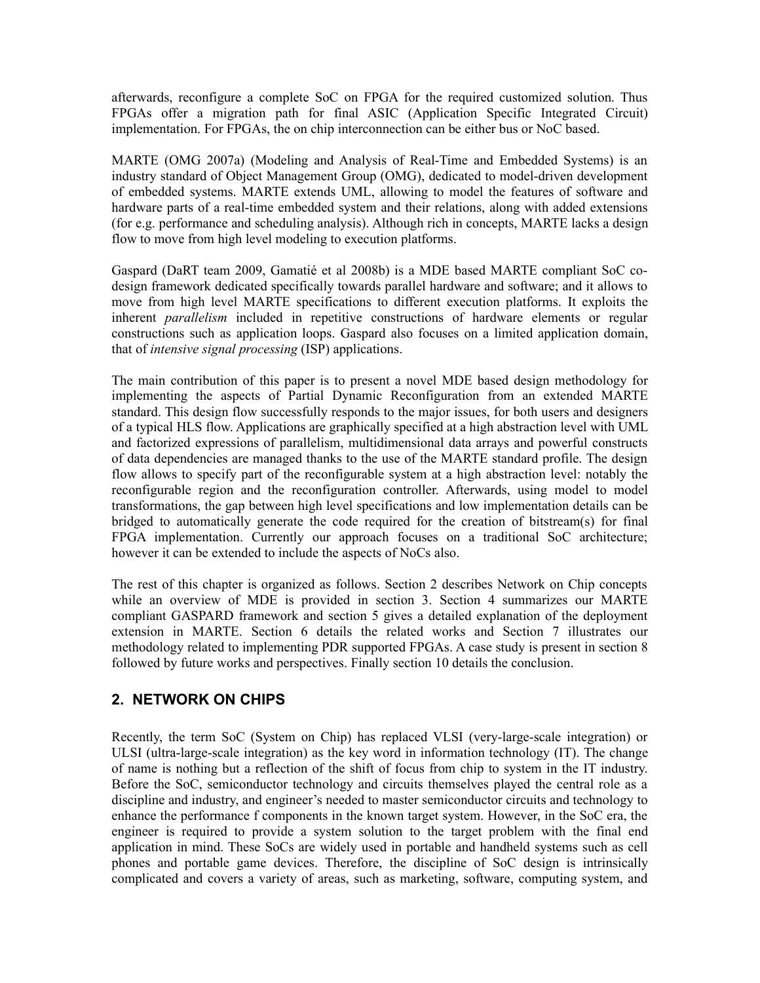afterwards, reconfigure a complete SoC on FPGA for the required customized solution. Thus FPGAs offer a migration path for final ASIC (Application Specific Integrated Circuit) implementation. For FPGAs, the on chip interconnection can be either bus or NoC based.

MARTE (OMG 2007a) (Modeling and Analysis of Real-Time and Embedded Systems) is an industry standard of Object Management Group (OMG), dedicated to model-driven development of embedded systems. MARTE extends UML, allowing to model the features of software and hardware parts of a real-time embedded system and their relations, along with added extensions (for e.g. performance and scheduling analysis). Although rich in concepts, MARTE lacks a design flow to move from high level modeling to execution platforms.

Gaspard (DaRT team 2009, Gamatié et al 2008b) is a MDE based MARTE compliant SoC codesign framework dedicated specifically towards parallel hardware and software; and it allows to move from high level MARTE specifications to different execution platforms. It exploits the inherent *parallelism* included in repetitive constructions of hardware elements or regular constructions such as application loops. Gaspard also focuses on a limited application domain, that of *intensive signal processing* (ISP) applications.

The main contribution of this paper is to present a novel MDE based design methodology for implementing the aspects of Partial Dynamic Reconfiguration from an extended MARTE standard. This design flow successfully responds to the major issues, for both users and designers of a typical HLS flow. Applications are graphically specified at a high abstraction level with UML and factorized expressions of parallelism, multidimensional data arrays and powerful constructs of data dependencies are managed thanks to the use of the MARTE standard profile. The design flow allows to specify part of the reconfigurable system at a high abstraction level: notably the reconfigurable region and the reconfiguration controller. Afterwards, using model to model transformations, the gap between high level specifications and low implementation details can be bridged to automatically generate the code required for the creation of bitstream(s) for final FPGA implementation. Currently our approach focuses on a traditional SoC architecture; however it can be extended to include the aspects of NoCs also.

The rest of this chapter is organized as follows. Section 2 describes Network on Chip concepts while an overview of MDE is provided in section 3. Section 4 summarizes our MARTE compliant GASPARD framework and section 5 gives a detailed explanation of the deployment extension in MARTE. Section 6 details the related works and Section 7 illustrates our methodology related to implementing PDR supported FPGAs. A case study is present in section 8 followed by future works and perspectives. Finally section 10 details the conclusion.

# **2. NETWORK ON CHIPS**

Recently, the term SoC (System on Chip) has replaced VLSI (very-large-scale integration) or ULSI (ultra-large-scale integration) as the key word in information technology (IT). The change of name is nothing but a reflection of the shift of focus from chip to system in the IT industry. Before the SoC, semiconductor technology and circuits themselves played the central role as a discipline and industry, and engineer's needed to master semiconductor circuits and technology to enhance the performance f components in the known target system. However, in the SoC era, the engineer is required to provide a system solution to the target problem with the final end application in mind. These SoCs are widely used in portable and handheld systems such as cell phones and portable game devices. Therefore, the discipline of SoC design is intrinsically complicated and covers a variety of areas, such as marketing, software, computing system, and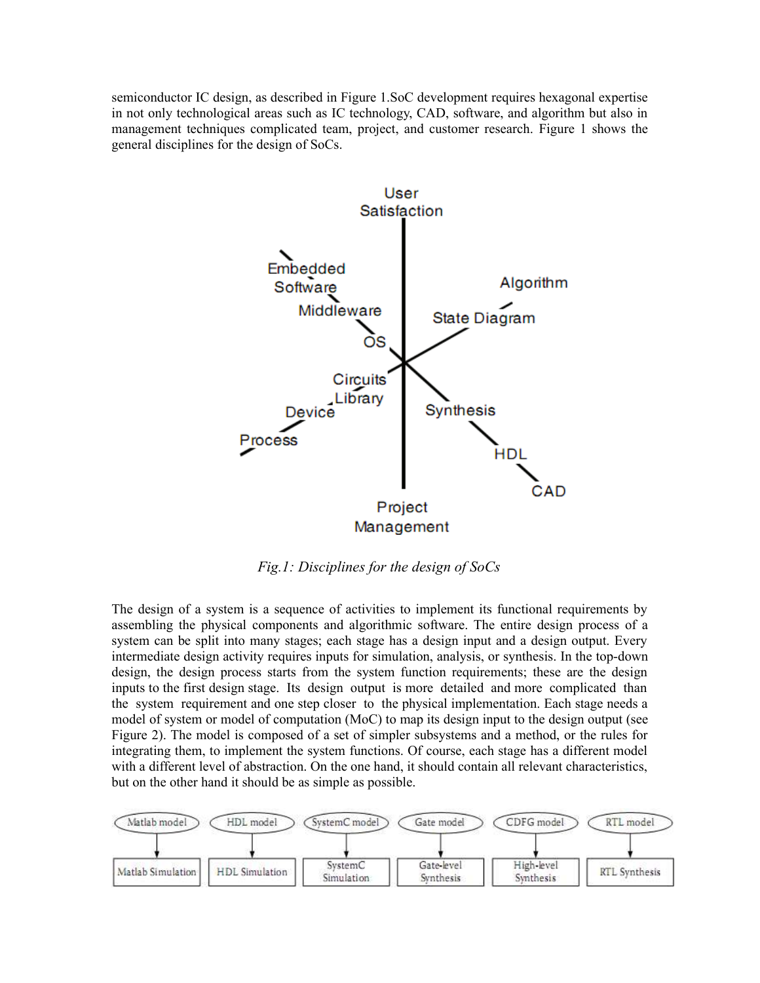semiconductor IC design, as described in Figure 1.SoC development requires hexagonal expertise in not only technological areas such as IC technology, CAD, software, and algorithm but also in management techniques complicated team, project, and customer research. Figure 1 shows the general disciplines for the design of SoCs.



*Fig.1: Disciplines for the design of SoCs*

The design of a system is a sequence of activities to implement its functional requirements by assembling the physical components and algorithmic software. The entire design process of a system can be split into many stages; each stage has a design input and a design output. Every intermediate design activity requires inputs for simulation, analysis, or synthesis. In the top-down design, the design process starts from the system function requirements; these are the design inputs to the first design stage. Its design output is more detailed and more complicated than the system requirement and one step closer to the physical implementation. Each stage needs a model of system or model of computation (MoC) to map its design input to the design output (see Figure 2). The model is composed of a set of simpler subsystems and a method, or the rules for integrating them, to implement the system functions. Of course, each stage has a different model with a different level of abstraction. On the one hand, it should contain all relevant characteristics, but on the other hand it should be as simple as possible.

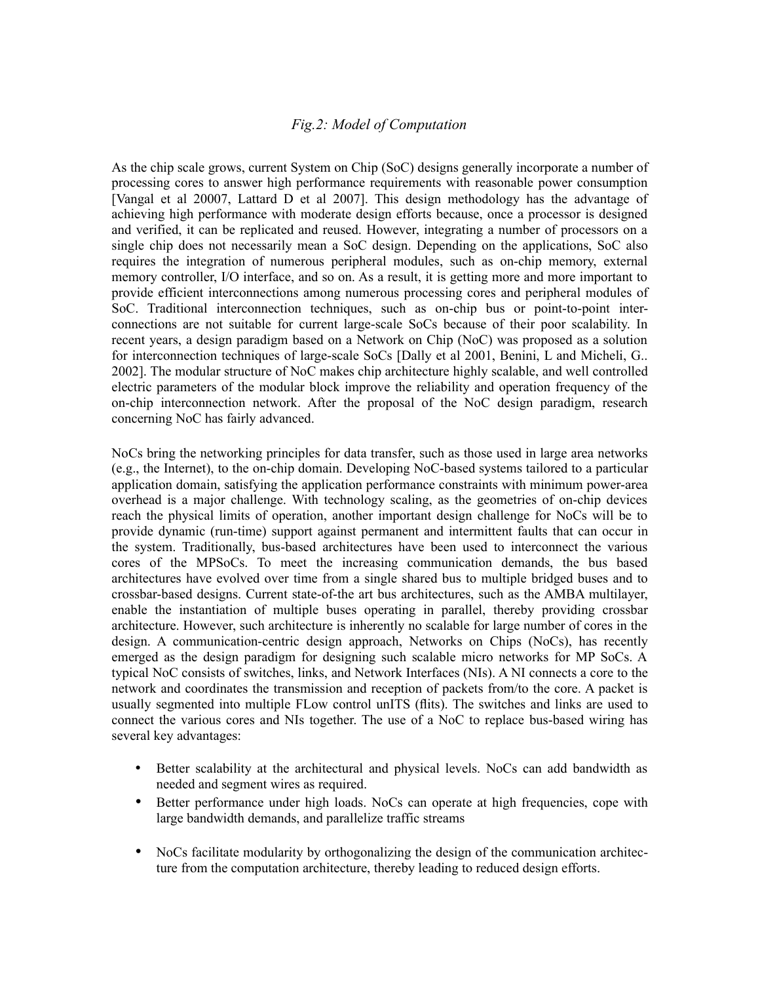#### *Fig.2: Model of Computation*

As the chip scale grows, current System on Chip (SoC) designs generally incorporate a number of processing cores to answer high performance requirements with reasonable power consumption [Vangal et al 20007, Lattard D et al 2007]. This design methodology has the advantage of achieving high performance with moderate design efforts because, once a processor is designed and verified, it can be replicated and reused. However, integrating a number of processors on a single chip does not necessarily mean a SoC design. Depending on the applications, SoC also requires the integration of numerous peripheral modules, such as on-chip memory, external memory controller, I/O interface, and so on. As a result, it is getting more and more important to provide efficient interconnections among numerous processing cores and peripheral modules of SoC. Traditional interconnection techniques, such as on-chip bus or point-to-point interconnections are not suitable for current large-scale SoCs because of their poor scalability. In recent years, a design paradigm based on a Network on Chip (NoC) was proposed as a solution for interconnection techniques of large-scale SoCs [Dally et al 2001, Benini, L and Micheli, G.. 2002]. The modular structure of NoC makes chip architecture highly scalable, and well controlled electric parameters of the modular block improve the reliability and operation frequency of the on-chip interconnection network. After the proposal of the NoC design paradigm, research concerning NoC has fairly advanced.

NoCs bring the networking principles for data transfer, such as those used in large area networks (e.g., the Internet), to the on-chip domain. Developing NoC-based systems tailored to a particular application domain, satisfying the application performance constraints with minimum power-area overhead is a major challenge. With technology scaling, as the geometries of on-chip devices reach the physical limits of operation, another important design challenge for NoCs will be to provide dynamic (run-time) support against permanent and intermittent faults that can occur in the system. Traditionally, bus-based architectures have been used to interconnect the various cores of the MPSoCs. To meet the increasing communication demands, the bus based architectures have evolved over time from a single shared bus to multiple bridged buses and to crossbar-based designs. Current state-of-the art bus architectures, such as the AMBA multilayer, enable the instantiation of multiple buses operating in parallel, thereby providing crossbar architecture. However, such architecture is inherently no scalable for large number of cores in the design. A communication-centric design approach, Networks on Chips (NoCs), has recently emerged as the design paradigm for designing such scalable micro networks for MP SoCs. A typical NoC consists of switches, links, and Network Interfaces (NIs). A NI connects a core to the network and coordinates the transmission and reception of packets from/to the core. A packet is usually segmented into multiple FLow control unITS (flits). The switches and links are used to connect the various cores and NIs together. The use of a NoC to replace bus-based wiring has several key advantages:

- Better scalability at the architectural and physical levels. NoCs can add bandwidth as needed and segment wires as required.
- Better performance under high loads. NoCs can operate at high frequencies, cope with large bandwidth demands, and parallelize traffic streams
- NoCs facilitate modularity by orthogonalizing the design of the communication architecture from the computation architecture, thereby leading to reduced design efforts.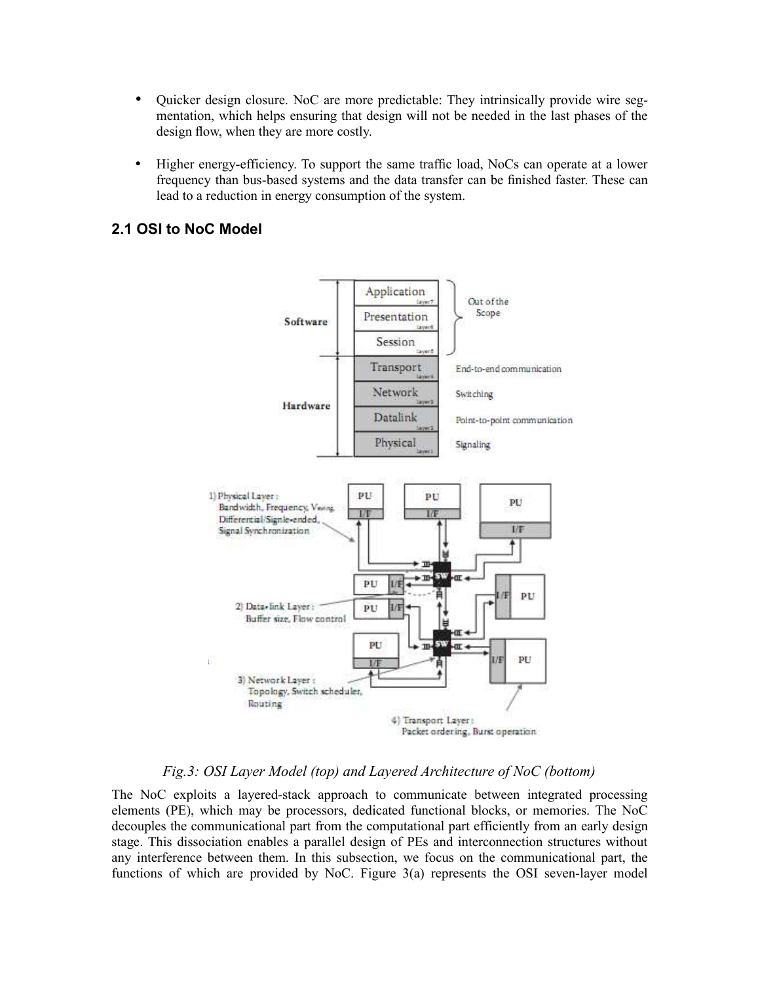- Quicker design closure. NoC are more predictable: They intrinsically provide wire segmentation, which helps ensuring that design will not be needed in the last phases of the design flow, when they are more costly.
- Higher energy-efficiency. To support the same traffic load, NoCs can operate at a lower frequency than bus-based systems and the data transfer can be finished faster. These can lead to a reduction in energy consumption of the system.

#### **2.1 OSI to NoC Model**



#### *Fig.3: OSI Layer Model (top) and Layered Architecture of NoC (bottom)*

The NoC exploits a layered-stack approach to communicate between integrated processing elements (PE), which may be processors, dedicated functional blocks, or memories. The NoC decouples the communicational part from the computational part efficiently from an early design stage. This dissociation enables a parallel design of PEs and interconnection structures without any interference between them. In this subsection, we focus on the communicational part, the functions of which are provided by NoC. Figure 3(a) represents the OSI seven-layer model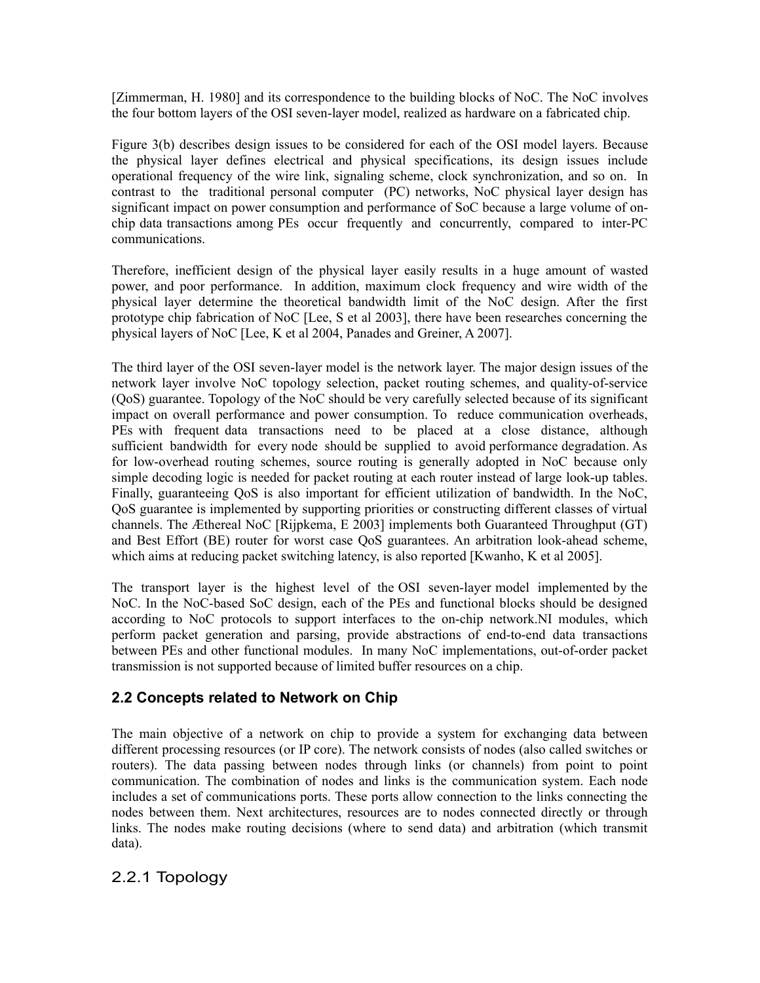[Zimmerman, H. 1980] and its correspondence to the building blocks of NoC. The NoC involves the four bottom layers of the OSI seven-layer model, realized as hardware on a fabricated chip.

Figure 3(b) describes design issues to be considered for each of the OSI model layers. Because the physical layer defines electrical and physical specifications, its design issues include operational frequency of the wire link, signaling scheme, clock synchronization, and so on. In contrast to the traditional personal computer (PC) networks, NoC physical layer design has significant impact on power consumption and performance of SoC because a large volume of onchip data transactions among PEs occur frequently and concurrently, compared to inter-PC communications.

Therefore, inefficient design of the physical layer easily results in a huge amount of wasted power, and poor performance. In addition, maximum clock frequency and wire width of the physical layer determine the theoretical bandwidth limit of the NoC design. After the first prototype chip fabrication of NoC [Lee, S et al 2003], there have been researches concerning the physical layers of NoC [Lee, K et al 2004, Panades and Greiner, A 2007].

The third layer of the OSI seven-layer model is the network layer. The major design issues of the network layer involve NoC topology selection, packet routing schemes, and quality-of-service (QoS) guarantee. Topology of the NoC should be very carefully selected because of its significant impact on overall performance and power consumption. To reduce communication overheads, PEs with frequent data transactions need to be placed at a close distance, although sufficient bandwidth for every node should be supplied to avoid performance degradation. As for low-overhead routing schemes, source routing is generally adopted in NoC because only simple decoding logic is needed for packet routing at each router instead of large look-up tables. Finally, guaranteeing QoS is also important for efficient utilization of bandwidth. In the NoC, QoS guarantee is implemented by supporting priorities or constructing different classes of virtual channels. The Æthereal NoC [Rijpkema, E 2003] implements both Guaranteed Throughput (GT) and Best Effort (BE) router for worst case QoS guarantees. An arbitration look-ahead scheme, which aims at reducing packet switching latency, is also reported [Kwanho, K et al 2005].

The transport layer is the highest level of the OSI seven-layer model implemented by the NoC. In the NoC-based SoC design, each of the PEs and functional blocks should be designed according to NoC protocols to support interfaces to the on-chip network.NI modules, which perform packet generation and parsing, provide abstractions of end-to-end data transactions between PEs and other functional modules. In many NoC implementations, out-of-order packet transmission is not supported because of limited buffer resources on a chip.

# **2.2 Concepts related to Network on Chip**

The main objective of a network on chip to provide a system for exchanging data between different processing resources (or IP core). The network consists of nodes (also called switches or routers). The data passing between nodes through links (or channels) from point to point communication. The combination of nodes and links is the communication system. Each node includes a set of communications ports. These ports allow connection to the links connecting the nodes between them. Next architectures, resources are to nodes connected directly or through links. The nodes make routing decisions (where to send data) and arbitration (which transmit data).

# 2.2.1 Topology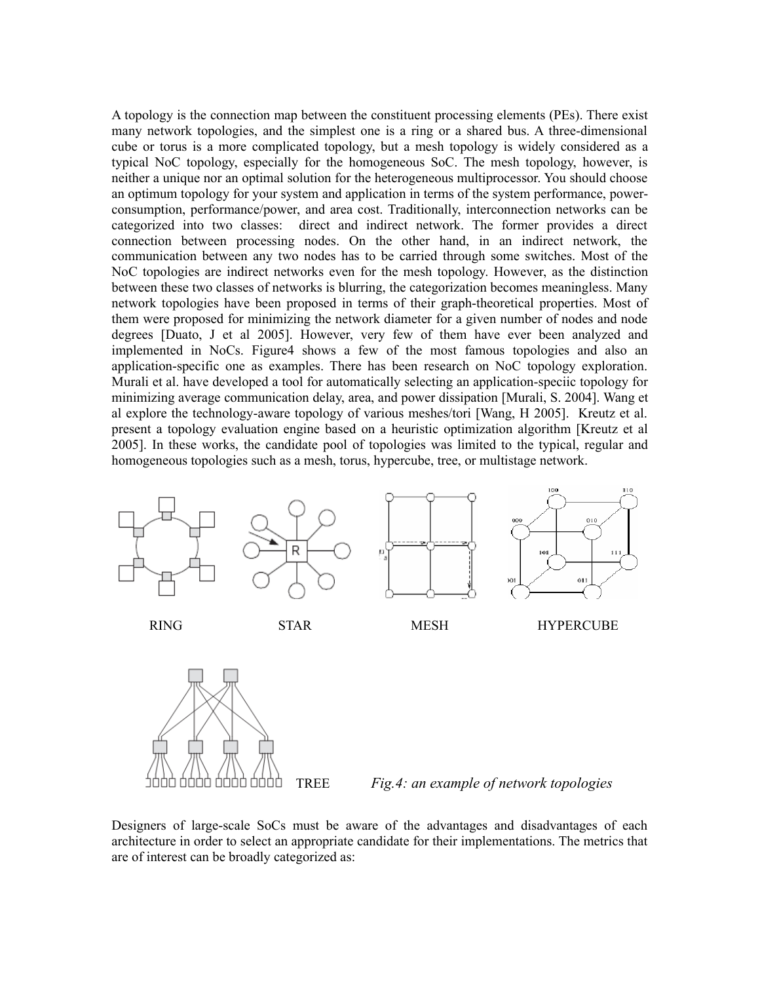A topology is the connection map between the constituent processing elements (PEs). There exist many network topologies, and the simplest one is a ring or a shared bus. A three-dimensional cube or torus is a more complicated topology, but a mesh topology is widely considered as a typical NoC topology, especially for the homogeneous SoC. The mesh topology, however, is neither a unique nor an optimal solution for the heterogeneous multiprocessor. You should choose an optimum topology for your system and application in terms of the system performance, powerconsumption, performance/power, and area cost. Traditionally, interconnection networks can be categorized into two classes: direct and indirect network. The former provides a direct connection between processing nodes. On the other hand, in an indirect network, the communication between any two nodes has to be carried through some switches. Most of the NoC topologies are indirect networks even for the mesh topology. However, as the distinction between these two classes of networks is blurring, the categorization becomes meaningless. Many network topologies have been proposed in terms of their graph-theoretical properties. Most of them were proposed for minimizing the network diameter for a given number of nodes and node degrees [Duato, J et al 2005]. However, very few of them have ever been analyzed and implemented in NoCs. Figure4 shows a few of the most famous topologies and also an application-specific one as examples. There has been research on NoC topology exploration. Murali et al. have developed a tool for automatically selecting an application-speciic topology for minimizing average communication delay, area, and power dissipation [Murali, S. 2004]. Wang et al explore the technology-aware topology of various meshes/tori [Wang, H 2005]. Kreutz et al. present a topology evaluation engine based on a heuristic optimization algorithm [Kreutz et al 2005]. In these works, the candidate pool of topologies was limited to the typical, regular and homogeneous topologies such as a mesh, torus, hypercube, tree, or multistage network.



Designers of large-scale SoCs must be aware of the advantages and disadvantages of each architecture in order to select an appropriate candidate for their implementations. The metrics that are of interest can be broadly categorized as:

àààà àààà àòàà

TREE *Fig.4: an example of network topologies*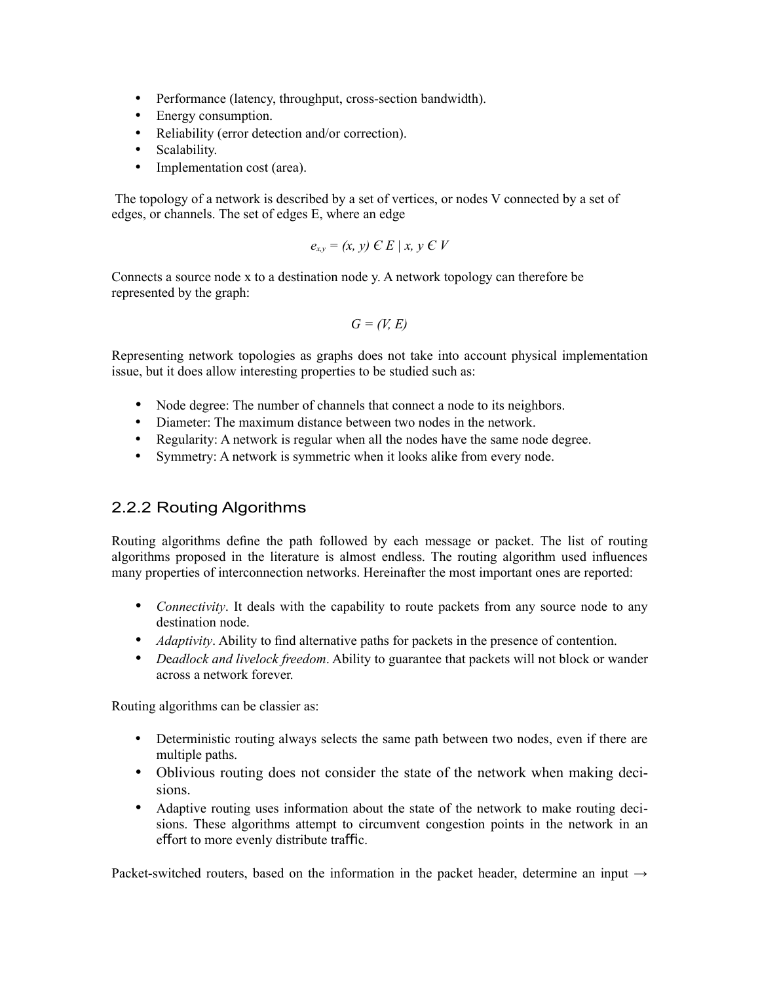- Performance (latency, throughput, cross-section bandwidth).
- Energy consumption.
- Reliability (error detection and/or correction).
- Scalability.
- Implementation cost (area).

 The topology of a network is described by a set of vertices, or nodes V connected by a set of edges, or channels. The set of edges E, where an edge

$$
e_{x,y}=(x, y) \in E \mid x, y \in V
$$

Connects a source node x to a destination node y. A network topology can therefore be represented by the graph:

$$
G=(V,E)
$$

Representing network topologies as graphs does not take into account physical implementation issue, but it does allow interesting properties to be studied such as:

- Node degree: The number of channels that connect a node to its neighbors.
- Diameter: The maximum distance between two nodes in the network.
- Regularity: A network is regular when all the nodes have the same node degree.
- Symmetry: A network is symmetric when it looks alike from every node.

# 2.2.2 Routing Algorithms

Routing algorithms define the path followed by each message or packet. The list of routing algorithms proposed in the literature is almost endless. The routing algorithm used influences many properties of interconnection networks. Hereinafter the most important ones are reported:

- *Connectivity*. It deals with the capability to route packets from any source node to any destination node.
- *Adaptivity*. Ability to find alternative paths for packets in the presence of contention.
- *D*e*adlock and livelock freedom*. Ability to guarantee that packets will not block or wander across a network forever.

Routing algorithms can be classier as:

- Deterministic routing always selects the same path between two nodes, even if there are multiple paths.
- Oblivious routing does not consider the state of the network when making decisions.
- Adaptive routing uses information about the state of the network to make routing decisions. These algorithms attempt to circumvent congestion points in the network in an effort to more evenly distribute traffic.

Packet-switched routers, based on the information in the packet header, determine an input →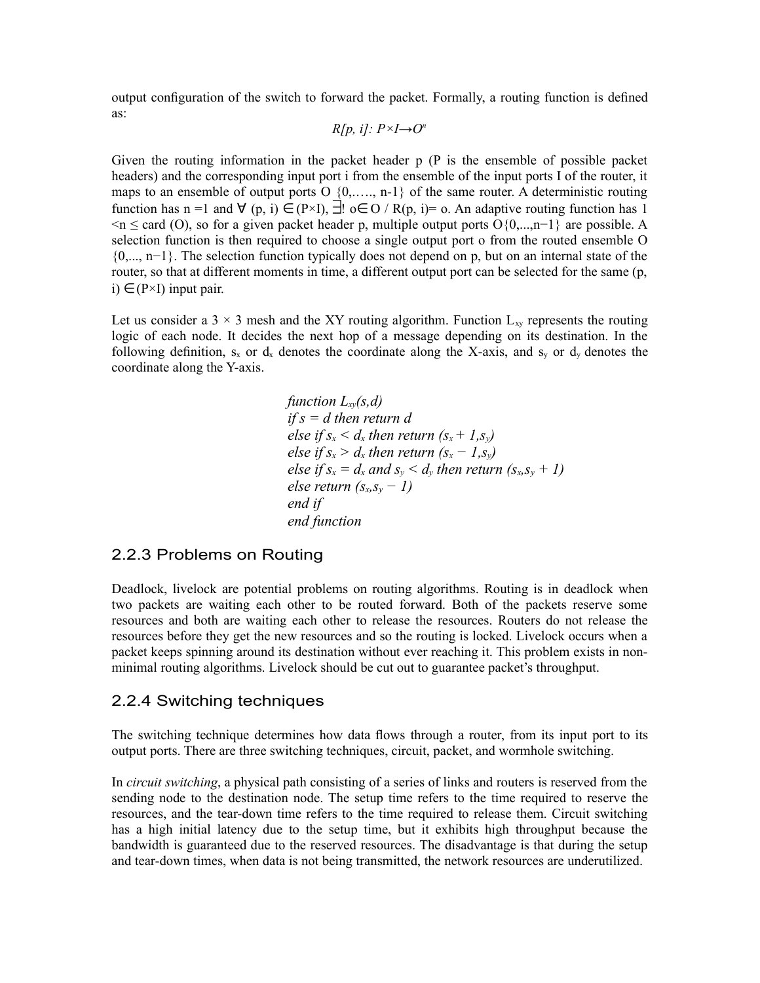output configuration of the switch to forward the packet. Formally, a routing function is defined as:

 $R[p, i]: P\times I\rightarrow O^n$ 

Given the routing information in the packet header p (P is the ensemble of possible packet headers) and the corresponding input port i from the ensemble of the input ports I of the router, it maps to an ensemble of output ports O  $\{0, \ldots, n-1\}$  of the same router. A deterministic routing function has n =1 and  $\forall$  (p, i)  $\in$  (P×I),  $\exists!$  o $\in$  O / R(p, i)= o. An adaptive routing function has 1  $\le n \le$  card (O), so for a given packet header p, multiple output ports O{0,...,n−1} are possible. A selection function is then required to choose a single output port o from the routed ensemble O {0,..., n−1}. The selection function typically does not depend on p, but on an internal state of the router, so that at different moments in time, a different output port can be selected for the same (p, i) ∈ ( $P\times I$ ) input pair.

Let us consider a  $3 \times 3$  mesh and the XY routing algorithm. Function  $L_{xy}$  represents the routing logic of each node. It decides the next hop of a message depending on its destination. In the following definition,  $s_x$  or  $d_x$  denotes the coordinate along the X-axis, and  $s_y$  or  $d_y$  denotes the coordinate along the Y-axis.

> *function Lxy(s,d) if s = d then return d else if*  $s_x < d_x$  *then return*  $(s_x + 1, s_y)$ *else if*  $s_x > d_x$  *then return*  $(s_x - 1, s_y)$ *else if*  $s_x = d_x$  *and*  $s_y \leq d_y$  *then return*  $(s_x, s_y + 1)$ *else return (sx,sy − 1) end if end function*

# 2.2.3 Problems on Routing

Deadlock, livelock are potential problems on routing algorithms. Routing is in deadlock when two packets are waiting each other to be routed forward. Both of the packets reserve some resources and both are waiting each other to release the resources. Routers do not release the resources before they get the new resources and so the routing is locked. Livelock occurs when a packet keeps spinning around its destination without ever reaching it. This problem exists in nonminimal routing algorithms. Livelock should be cut out to guarantee packet's throughput.

# 2.2.4 Switching techniques

The switching technique determines how data flows through a router, from its input port to its output ports. There are three switching techniques, circuit, packet, and wormhole switching.

In *circuit switching*, a physical path consisting of a series of links and routers is reserved from the sending node to the destination node. The setup time refers to the time required to reserve the resources, and the tear-down time refers to the time required to release them. Circuit switching has a high initial latency due to the setup time, but it exhibits high throughput because the bandwidth is guaranteed due to the reserved resources. The disadvantage is that during the setup and tear-down times, when data is not being transmitted, the network resources are underutilized.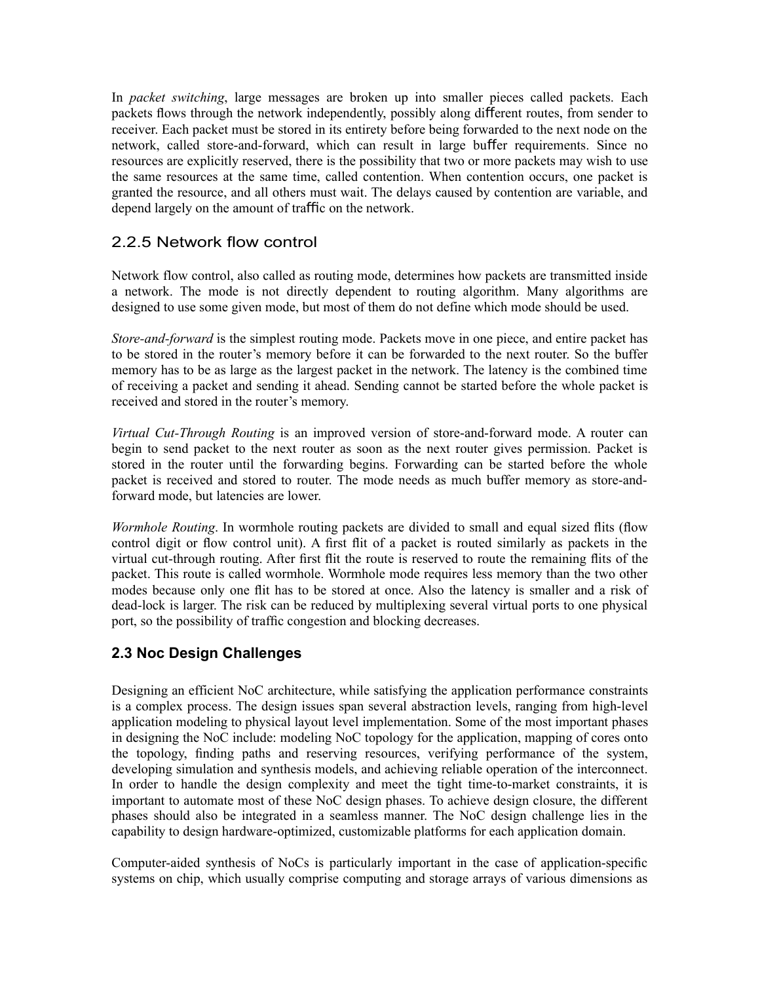In *packet switching*, large messages are broken up into smaller pieces called packets. Each packets flows through the network independently, possibly along different routes, from sender to receiver. Each packet must be stored in its entirety before being forwarded to the next node on the network, called store-and-forward, which can result in large buffer requirements. Since no resources are explicitly reserved, there is the possibility that two or more packets may wish to use the same resources at the same time, called contention. When contention occurs, one packet is granted the resource, and all others must wait. The delays caused by contention are variable, and depend largely on the amount of traffic on the network.

# 2.2.5 Network flow control

Network flow control, also called as routing mode, determines how packets are transmitted inside a network. The mode is not directly dependent to routing algorithm. Many algorithms are designed to use some given mode, but most of them do not define which mode should be used.

*Store-and-forward* is the simplest routing mode. Packets move in one piece, and entire packet has to be stored in the router's memory before it can be forwarded to the next router. So the buffer memory has to be as large as the largest packet in the network. The latency is the combined time of receiving a packet and sending it ahead. Sending cannot be started before the whole packet is received and stored in the router's memory.

*Virtual Cut-Through Routing* is an improved version of store-and-forward mode. A router can begin to send packet to the next router as soon as the next router gives permission. Packet is stored in the router until the forwarding begins. Forwarding can be started before the whole packet is received and stored to router. The mode needs as much buffer memory as store-andforward mode, but latencies are lower.

*Wormhole Routing*. In wormhole routing packets are divided to small and equal sized flits (flow control digit or flow control unit). A first flit of a packet is routed similarly as packets in the virtual cut-through routing. After first flit the route is reserved to route the remaining flits of the packet. This route is called wormhole. Wormhole mode requires less memory than the two other modes because only one flit has to be stored at once. Also the latency is smaller and a risk of dead-lock is larger. The risk can be reduced by multiplexing several virtual ports to one physical port, so the possibility of traffic congestion and blocking decreases.

# **2.3 Noc Design Challenges**

Designing an efficient NoC architecture, while satisfying the application performance constraints is a complex process. The design issues span several abstraction levels, ranging from high-level application modeling to physical layout level implementation. Some of the most important phases in designing the NoC include: modeling NoC topology for the application, mapping of cores onto the topology, finding paths and reserving resources, verifying performance of the system, developing simulation and synthesis models, and achieving reliable operation of the interconnect. In order to handle the design complexity and meet the tight time-to-market constraints, it is important to automate most of these NoC design phases. To achieve design closure, the different phases should also be integrated in a seamless manner. The NoC design challenge lies in the capability to design hardware-optimized, customizable platforms for each application domain.

Computer-aided synthesis of NoCs is particularly important in the case of application-specific systems on chip, which usually comprise computing and storage arrays of various dimensions as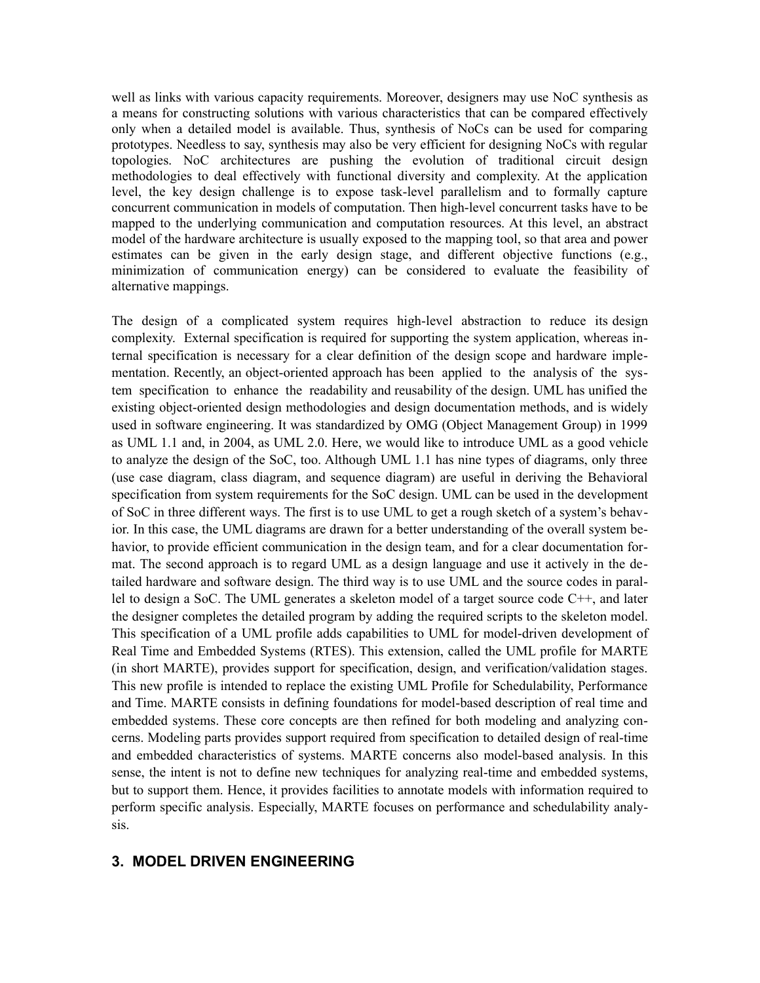well as links with various capacity requirements. Moreover, designers may use NoC synthesis as a means for constructing solutions with various characteristics that can be compared effectively only when a detailed model is available. Thus, synthesis of NoCs can be used for comparing prototypes. Needless to say, synthesis may also be very efficient for designing NoCs with regular topologies. NoC architectures are pushing the evolution of traditional circuit design methodologies to deal effectively with functional diversity and complexity. At the application level, the key design challenge is to expose task-level parallelism and to formally capture concurrent communication in models of computation. Then high-level concurrent tasks have to be mapped to the underlying communication and computation resources. At this level, an abstract model of the hardware architecture is usually exposed to the mapping tool, so that area and power estimates can be given in the early design stage, and different objective functions (e.g., minimization of communication energy) can be considered to evaluate the feasibility of alternative mappings.

The design of a complicated system requires high-level abstraction to reduce its design complexity. External specification is required for supporting the system application, whereas internal specification is necessary for a clear definition of the design scope and hardware implementation. Recently, an object-oriented approach has been applied to the analysis of the system specification to enhance the readability and reusability of the design. UML has unified the existing object-oriented design methodologies and design documentation methods, and is widely used in software engineering. It was standardized by OMG (Object Management Group) in 1999 as UML 1.1 and, in 2004, as UML 2.0. Here, we would like to introduce UML as a good vehicle to analyze the design of the SoC, too. Although UML 1.1 has nine types of diagrams, only three (use case diagram, class diagram, and sequence diagram) are useful in deriving the Behavioral specification from system requirements for the SoC design. UML can be used in the development of SoC in three different ways. The first is to use UML to get a rough sketch of a system's behavior. In this case, the UML diagrams are drawn for a better understanding of the overall system behavior, to provide efficient communication in the design team, and for a clear documentation format. The second approach is to regard UML as a design language and use it actively in the detailed hardware and software design. The third way is to use UML and the source codes in parallel to design a SoC. The UML generates a skeleton model of a target source code C++, and later the designer completes the detailed program by adding the required scripts to the skeleton model. This specification of a UML profile adds capabilities to UML for model-driven development of Real Time and Embedded Systems (RTES). This extension, called the UML profile for MARTE (in short MARTE), provides support for specification, design, and verification/validation stages. This new profile is intended to replace the existing UML Profile for Schedulability, Performance and Time. MARTE consists in defining foundations for model-based description of real time and embedded systems. These core concepts are then refined for both modeling and analyzing concerns. Modeling parts provides support required from specification to detailed design of real-time and embedded characteristics of systems. MARTE concerns also model-based analysis. In this sense, the intent is not to define new techniques for analyzing real-time and embedded systems, but to support them. Hence, it provides facilities to annotate models with information required to perform specific analysis. Especially, MARTE focuses on performance and schedulability analysis.

#### **3. MODEL DRIVEN ENGINEERING**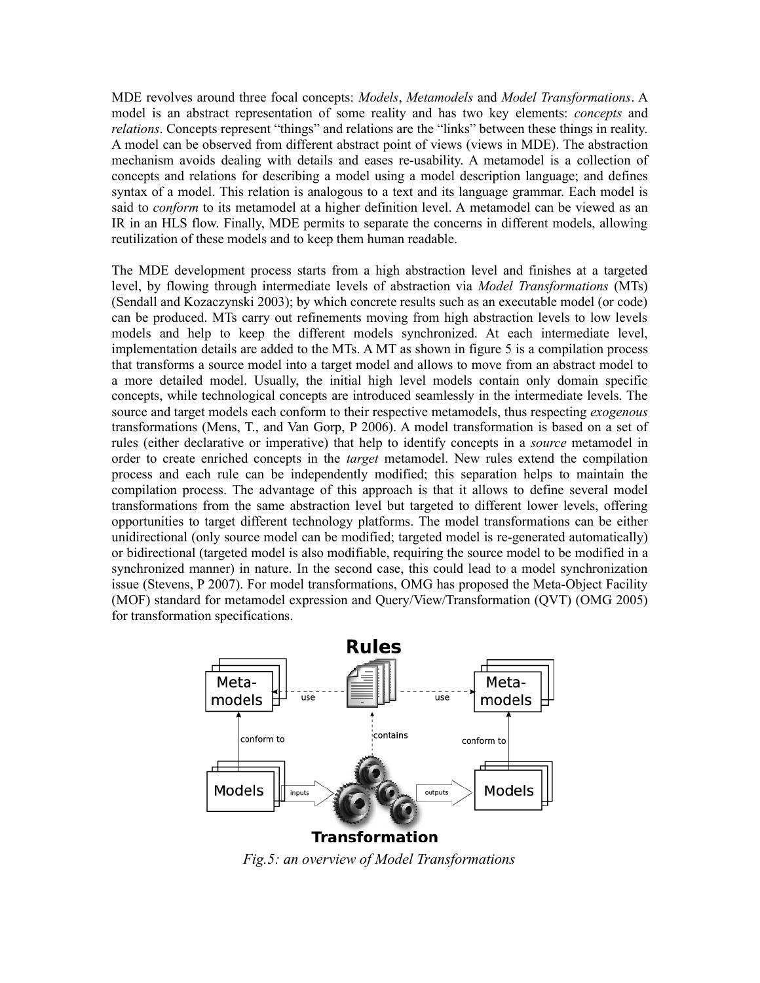MDE revolves around three focal concepts: *Models*, *Metamodels* and *Model Transformations*. A model is an abstract representation of some reality and has two key elements: *concepts* and *relations*. Concepts represent "things" and relations are the "links" between these things in reality. A model can be observed from different abstract point of views (views in MDE). The abstraction mechanism avoids dealing with details and eases re-usability. A metamodel is a collection of concepts and relations for describing a model using a model description language; and defines syntax of a model. This relation is analogous to a text and its language grammar. Each model is said to *conform* to its metamodel at a higher definition level. A metamodel can be viewed as an IR in an HLS flow. Finally, MDE permits to separate the concerns in different models, allowing reutilization of these models and to keep them human readable.

The MDE development process starts from a high abstraction level and finishes at a targeted level, by flowing through intermediate levels of abstraction via *Model Transformations* (MTs) (Sendall and Kozaczynski 2003); by which concrete results such as an executable model (or code) can be produced. MTs carry out refinements moving from high abstraction levels to low levels models and help to keep the different models synchronized. At each intermediate level, implementation details are added to the MTs. A MT as shown in figure 5 is a compilation process that transforms a source model into a target model and allows to move from an abstract model to a more detailed model. Usually, the initial high level models contain only domain specific concepts, while technological concepts are introduced seamlessly in the intermediate levels. The source and target models each conform to their respective metamodels, thus respecting *exogenous*  transformations (Mens, T., and Van Gorp, P 2006). A model transformation is based on a set of rules (either declarative or imperative) that help to identify concepts in a *source* metamodel in order to create enriched concepts in the *target* metamodel. New rules extend the compilation process and each rule can be independently modified; this separation helps to maintain the compilation process. The advantage of this approach is that it allows to define several model transformations from the same abstraction level but targeted to different lower levels, offering opportunities to target different technology platforms. The model transformations can be either unidirectional (only source model can be modified; targeted model is re-generated automatically) or bidirectional (targeted model is also modifiable, requiring the source model to be modified in a synchronized manner) in nature. In the second case, this could lead to a model synchronization issue (Stevens, P 2007). For model transformations, OMG has proposed the Meta-Object Facility (MOF) standard for metamodel expression and Query/View/Transformation (QVT) (OMG 2005) for transformation specifications.



*Fig.5: an overview of Model Transformations*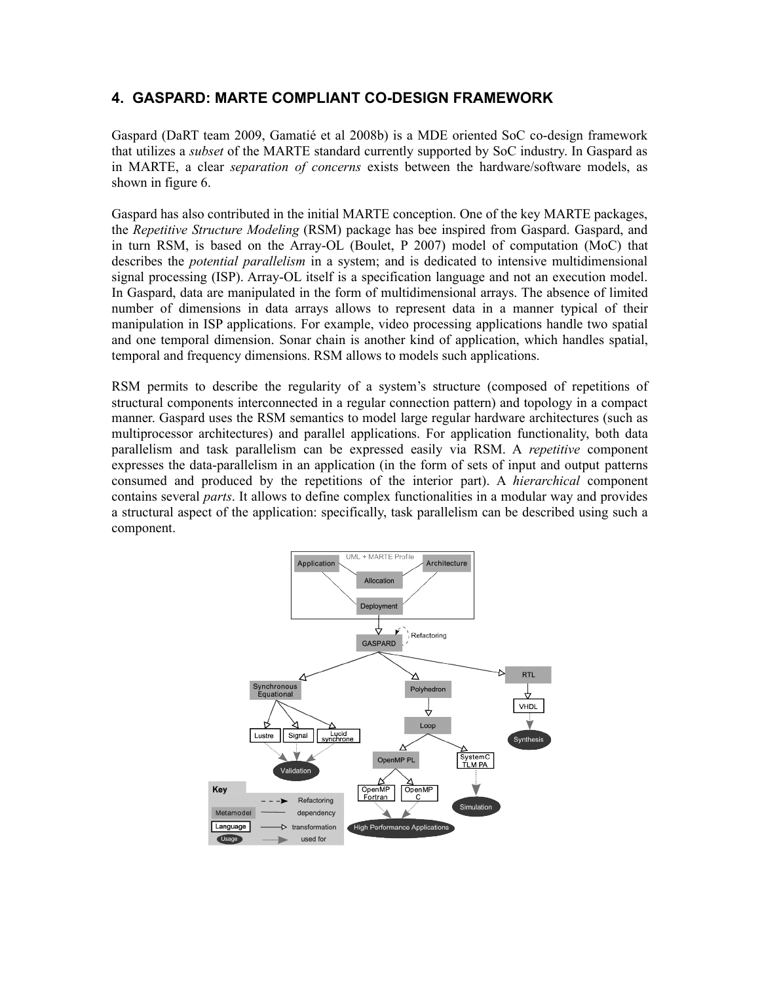# **4. GASPARD: MARTE COMPLIANT CO-DESIGN FRAMEWORK**

Gaspard (DaRT team 2009, Gamatié et al 2008b) is a MDE oriented SoC co-design framework that utilizes a *subset* of the MARTE standard currently supported by SoC industry. In Gaspard as in MARTE, a clear *separation of concerns* exists between the hardware/software models, as shown in figure 6.

Gaspard has also contributed in the initial MARTE conception. One of the key MARTE packages, the *Repetitive Structure Modeling* (RSM) package has bee inspired from Gaspard. Gaspard, and in turn RSM, is based on the Array-OL (Boulet, P 2007) model of computation (MoC) that describes the *potential parallelism* in a system; and is dedicated to intensive multidimensional signal processing (ISP). Array-OL itself is a specification language and not an execution model. In Gaspard, data are manipulated in the form of multidimensional arrays. The absence of limited number of dimensions in data arrays allows to represent data in a manner typical of their manipulation in ISP applications. For example, video processing applications handle two spatial and one temporal dimension. Sonar chain is another kind of application, which handles spatial, temporal and frequency dimensions. RSM allows to models such applications.

RSM permits to describe the regularity of a system's structure (composed of repetitions of structural components interconnected in a regular connection pattern) and topology in a compact manner. Gaspard uses the RSM semantics to model large regular hardware architectures (such as multiprocessor architectures) and parallel applications. For application functionality, both data parallelism and task parallelism can be expressed easily via RSM. A *repetitive* component expresses the data-parallelism in an application (in the form of sets of input and output patterns consumed and produced by the repetitions of the interior part). A *hierarchical* component contains several *parts*. It allows to define complex functionalities in a modular way and provides a structural aspect of the application: specifically, task parallelism can be described using such a component.

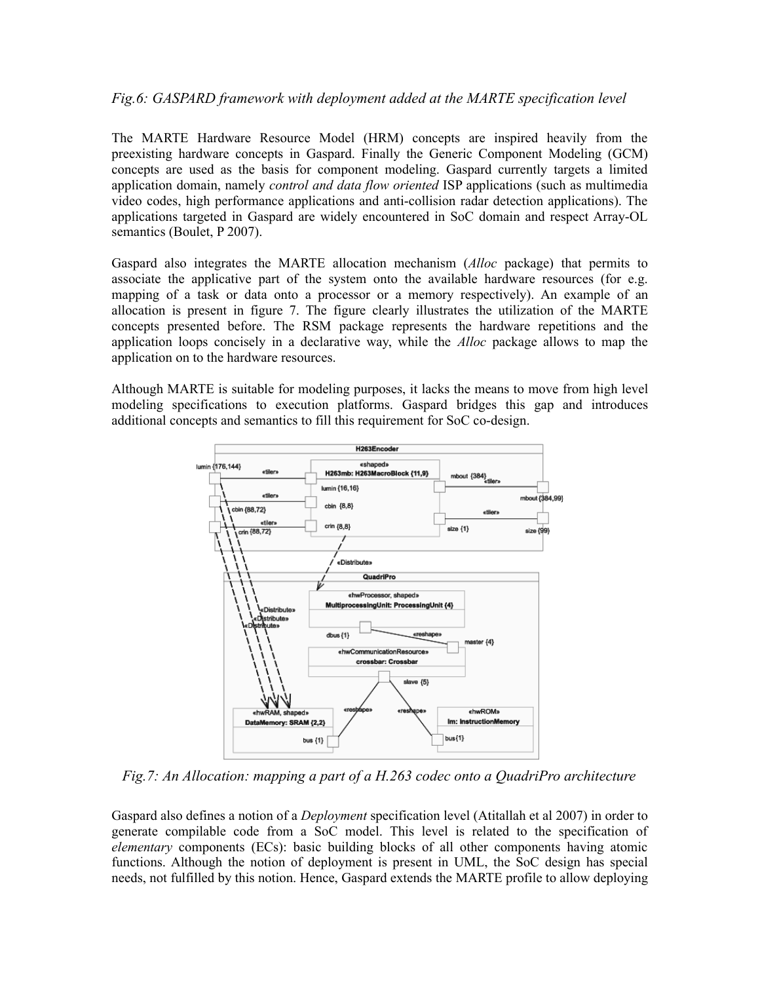#### *Fig.6: GASPARD framework with deployment added at the MARTE specification level*

The MARTE Hardware Resource Model (HRM) concepts are inspired heavily from the preexisting hardware concepts in Gaspard. Finally the Generic Component Modeling (GCM) concepts are used as the basis for component modeling. Gaspard currently targets a limited application domain, namely *control and data flow oriented* ISP applications (such as multimedia video codes, high performance applications and anti-collision radar detection applications). The applications targeted in Gaspard are widely encountered in SoC domain and respect Array-OL semantics (Boulet, P 2007).

Gaspard also integrates the MARTE allocation mechanism (*Alloc* package) that permits to associate the applicative part of the system onto the available hardware resources (for e.g. mapping of a task or data onto a processor or a memory respectively). An example of an allocation is present in figure 7. The figure clearly illustrates the utilization of the MARTE concepts presented before. The RSM package represents the hardware repetitions and the application loops concisely in a declarative way, while the *Alloc* package allows to map the application on to the hardware resources.

Although MARTE is suitable for modeling purposes, it lacks the means to move from high level modeling specifications to execution platforms. Gaspard bridges this gap and introduces additional concepts and semantics to fill this requirement for SoC co-design.



*Fig.7: An Allocation: mapping a part of a H.263 codec onto a QuadriPro architecture*

Gaspard also defines a notion of a *Deployment* specification level (Atitallah et al 2007) in order to generate compilable code from a SoC model. This level is related to the specification of *elementary* components (ECs): basic building blocks of all other components having atomic functions. Although the notion of deployment is present in UML, the SoC design has special needs, not fulfilled by this notion. Hence, Gaspard extends the MARTE profile to allow deploying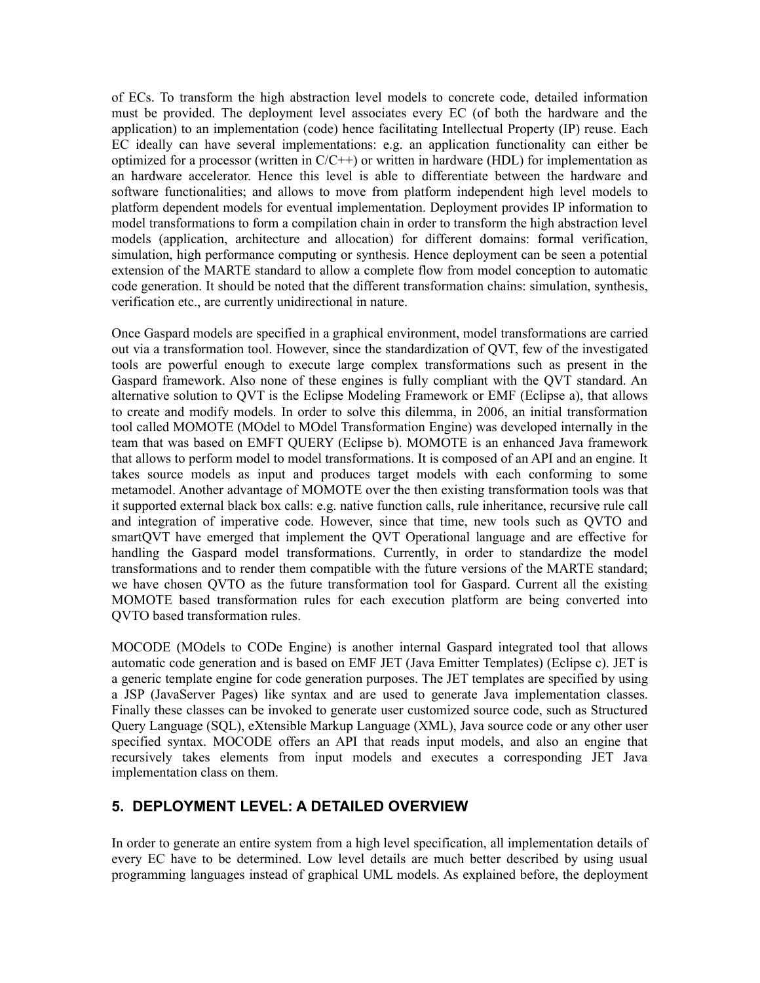of ECs. To transform the high abstraction level models to concrete code, detailed information must be provided. The deployment level associates every EC (of both the hardware and the application) to an implementation (code) hence facilitating Intellectual Property (IP) reuse. Each EC ideally can have several implementations: e.g. an application functionality can either be optimized for a processor (written in  $C/C++$ ) or written in hardware (HDL) for implementation as an hardware accelerator. Hence this level is able to differentiate between the hardware and software functionalities; and allows to move from platform independent high level models to platform dependent models for eventual implementation. Deployment provides IP information to model transformations to form a compilation chain in order to transform the high abstraction level models (application, architecture and allocation) for different domains: formal verification, simulation, high performance computing or synthesis. Hence deployment can be seen a potential extension of the MARTE standard to allow a complete flow from model conception to automatic code generation. It should be noted that the different transformation chains: simulation, synthesis, verification etc., are currently unidirectional in nature.

Once Gaspard models are specified in a graphical environment, model transformations are carried out via a transformation tool. However, since the standardization of QVT, few of the investigated tools are powerful enough to execute large complex transformations such as present in the Gaspard framework. Also none of these engines is fully compliant with the QVT standard. An alternative solution to QVT is the Eclipse Modeling Framework or EMF (Eclipse a), that allows to create and modify models. In order to solve this dilemma, in 2006, an initial transformation tool called MOMOTE (MOdel to MOdel Transformation Engine) was developed internally in the team that was based on EMFT QUERY (Eclipse b). MOMOTE is an enhanced Java framework that allows to perform model to model transformations. It is composed of an API and an engine. It takes source models as input and produces target models with each conforming to some metamodel. Another advantage of MOMOTE over the then existing transformation tools was that it supported external black box calls: e.g. native function calls, rule inheritance, recursive rule call and integration of imperative code. However, since that time, new tools such as QVTO and smartQVT have emerged that implement the QVT Operational language and are effective for handling the Gaspard model transformations. Currently, in order to standardize the model transformations and to render them compatible with the future versions of the MARTE standard; we have chosen QVTO as the future transformation tool for Gaspard. Current all the existing MOMOTE based transformation rules for each execution platform are being converted into QVTO based transformation rules.

MOCODE (MOdels to CODe Engine) is another internal Gaspard integrated tool that allows automatic code generation and is based on EMF JET (Java Emitter Templates) (Eclipse c). JET is a generic template engine for code generation purposes. The JET templates are specified by using a JSP (JavaServer Pages) like syntax and are used to generate Java implementation classes. Finally these classes can be invoked to generate user customized source code, such as Structured Query Language (SQL), eXtensible Markup Language (XML), Java source code or any other user specified syntax. MOCODE offers an API that reads input models, and also an engine that recursively takes elements from input models and executes a corresponding JET Java implementation class on them.

# **5. DEPLOYMENT LEVEL: A DETAILED OVERVIEW**

In order to generate an entire system from a high level specification, all implementation details of every EC have to be determined. Low level details are much better described by using usual programming languages instead of graphical UML models. As explained before, the deployment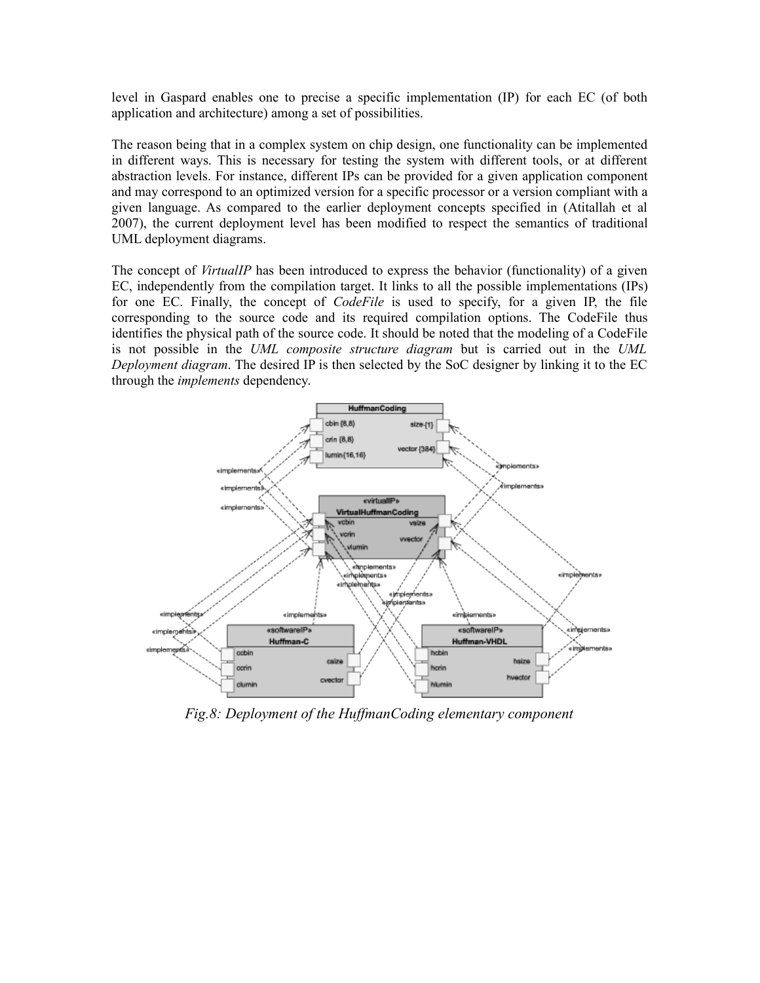level in Gaspard enables one to precise a specific implementation (IP) for each EC (of both application and architecture) among a set of possibilities.

The reason being that in a complex system on chip design, one functionality can be implemented in different ways. This is necessary for testing the system with different tools, or at different abstraction levels. For instance, different IPs can be provided for a given application component and may correspond to an optimized version for a specific processor or a version compliant with a given language. As compared to the earlier deployment concepts specified in (Atitallah et al 2007), the current deployment level has been modified to respect the semantics of traditional UML deployment diagrams.

The concept of *VirtualIP* has been introduced to express the behavior (functionality) of a given EC, independently from the compilation target. It links to all the possible implementations (IPs) for one EC. Finally, the concept of *CodeFile* is used to specify, for a given IP, the file corresponding to the source code and its required compilation options. The CodeFile thus identifies the physical path of the source code. It should be noted that the modeling of a CodeFile is not possible in the *UML composite structure diagram* but is carried out in the *UML Deployment diagram*. The desired IP is then selected by the SoC designer by linking it to the EC through the *implements* dependency.



*Fig.8: Deployment of the HuffmanCoding elementary component*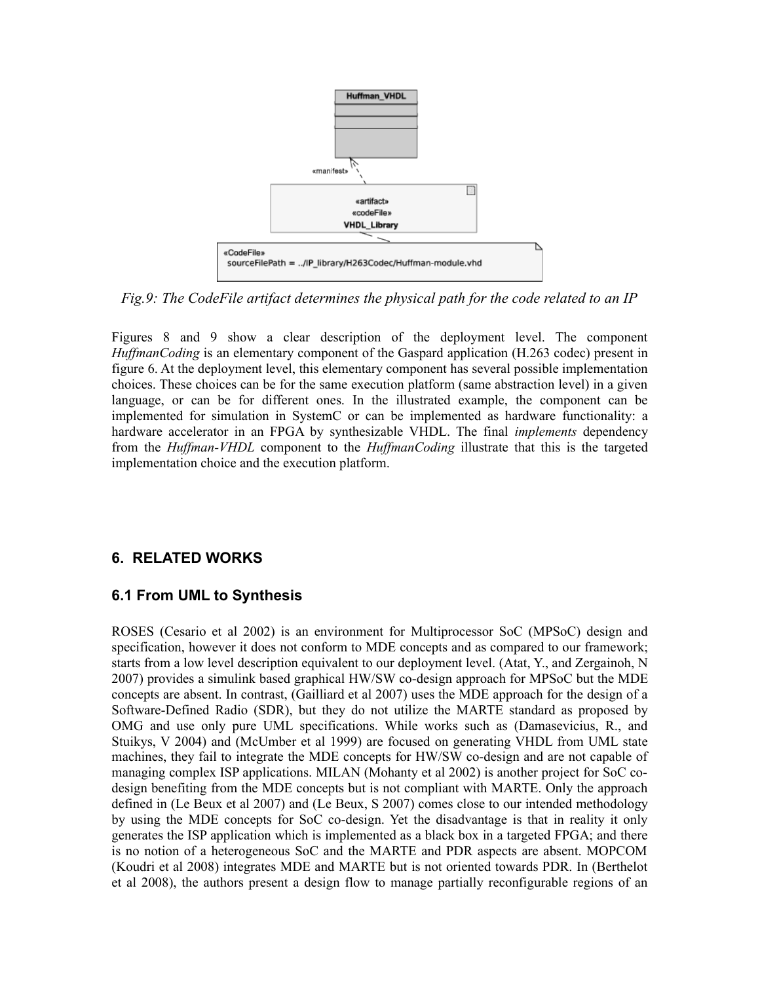

*Fig.9: The CodeFile artifact determines the physical path for the code related to an IP*

Figures 8 and 9 show a clear description of the deployment level. The component *HuffmanCoding* is an elementary component of the Gaspard application (H.263 codec) present in figure 6. At the deployment level, this elementary component has several possible implementation choices. These choices can be for the same execution platform (same abstraction level) in a given language, or can be for different ones. In the illustrated example, the component can be implemented for simulation in SystemC or can be implemented as hardware functionality: a hardware accelerator in an FPGA by synthesizable VHDL. The final *implements* dependency from the *Huffman-VHDL* component to the *HuffmanCoding* illustrate that this is the targeted implementation choice and the execution platform.

# **6. RELATED WORKS**

#### **6.1 From UML to Synthesis**

ROSES (Cesario et al 2002) is an environment for Multiprocessor SoC (MPSoC) design and specification, however it does not conform to MDE concepts and as compared to our framework; starts from a low level description equivalent to our deployment level. (Atat, Y., and Zergainoh, N 2007) provides a simulink based graphical HW/SW co-design approach for MPSoC but the MDE concepts are absent. In contrast, (Gailliard et al 2007) uses the MDE approach for the design of a Software-Defined Radio (SDR), but they do not utilize the MARTE standard as proposed by OMG and use only pure UML specifications. While works such as (Damasevicius, R., and Stuikys, V 2004) and (McUmber et al 1999) are focused on generating VHDL from UML state machines, they fail to integrate the MDE concepts for HW/SW co-design and are not capable of managing complex ISP applications. MILAN (Mohanty et al 2002) is another project for SoC codesign benefiting from the MDE concepts but is not compliant with MARTE. Only the approach defined in (Le Beux et al 2007) and (Le Beux, S 2007) comes close to our intended methodology by using the MDE concepts for SoC co-design. Yet the disadvantage is that in reality it only generates the ISP application which is implemented as a black box in a targeted FPGA; and there is no notion of a heterogeneous SoC and the MARTE and PDR aspects are absent. MOPCOM (Koudri et al 2008) integrates MDE and MARTE but is not oriented towards PDR. In (Berthelot et al 2008), the authors present a design flow to manage partially reconfigurable regions of an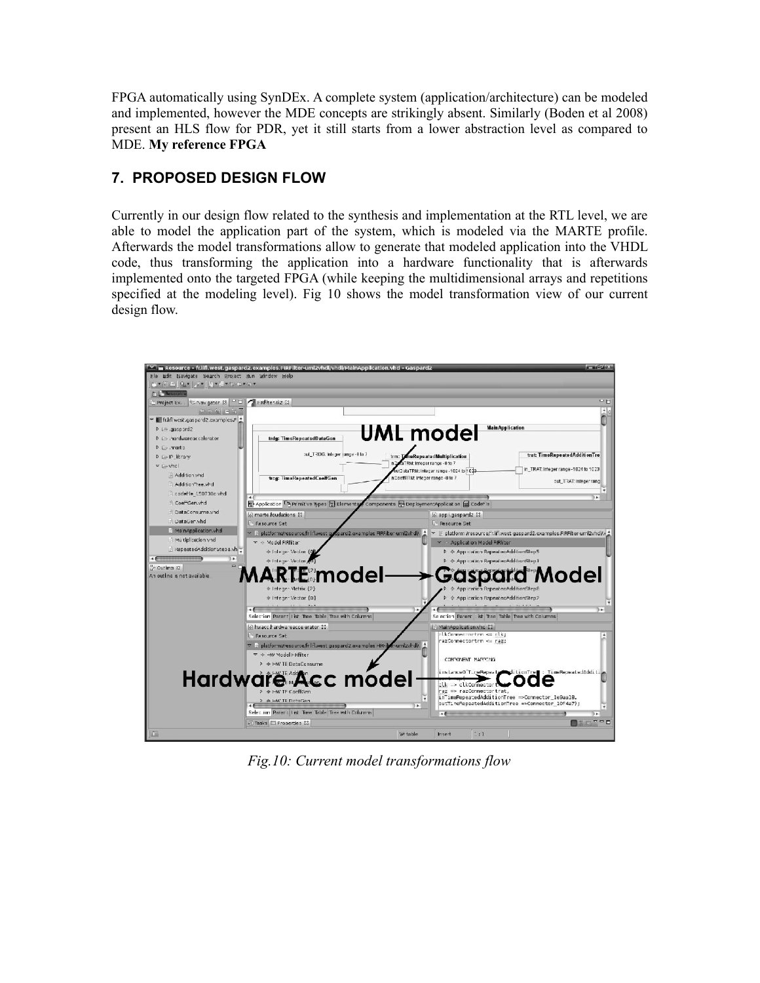FPGA automatically using SynDEx. A complete system (application/architecture) can be modeled and implemented, however the MDE concepts are strikingly absent. Similarly (Boden et al 2008) present an HLS flow for PDR, yet it still starts from a lower abstraction level as compared to MDE. **My reference FPGA**

# **7. PROPOSED DESIGN FLOW**

Currently in our design flow related to the synthesis and implementation at the RTL level, we are able to model the application part of the system, which is modeled via the MARTE profile. Afterwards the model transformations allow to generate that modeled application into the VHDL code, thus transforming the application into a hardware functionality that is afterwards implemented onto the targeted FPGA (while keeping the multidimensional arrays and repetitions specified at the modeling level). Fig 10 shows the model transformation view of our current design flow.



*Fig.10: Current model transformations flow*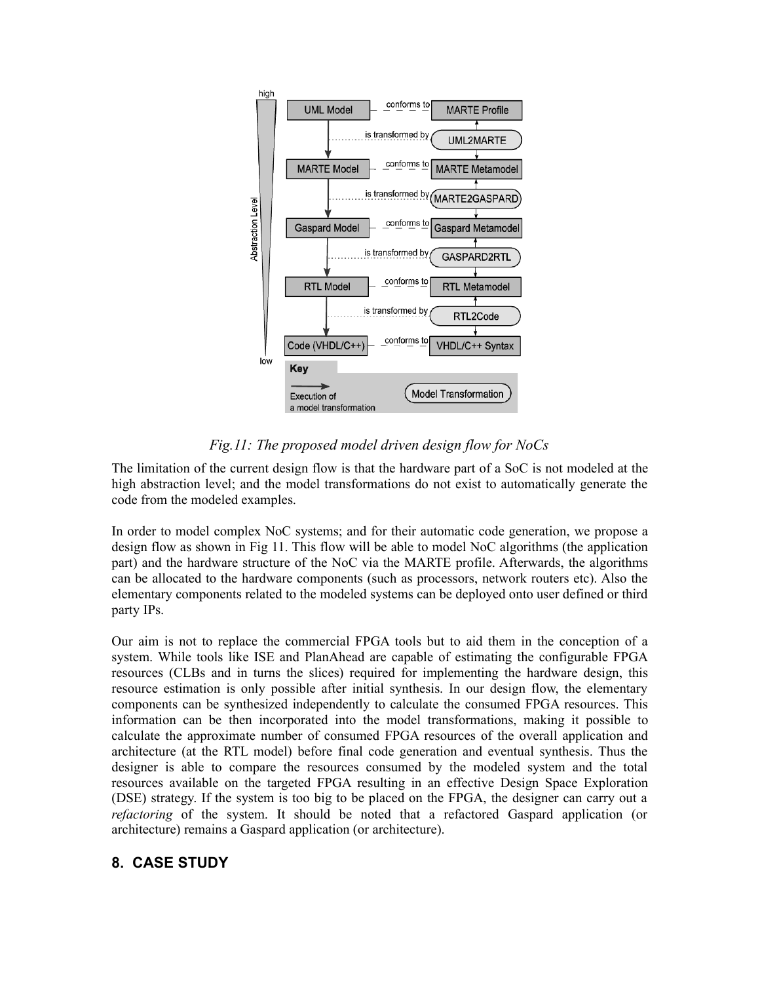

# *Fig.11: The proposed model driven design flow for NoCs*

The limitation of the current design flow is that the hardware part of a SoC is not modeled at the high abstraction level; and the model transformations do not exist to automatically generate the code from the modeled examples.

In order to model complex NoC systems; and for their automatic code generation, we propose a design flow as shown in Fig 11. This flow will be able to model NoC algorithms (the application part) and the hardware structure of the NoC via the MARTE profile. Afterwards, the algorithms can be allocated to the hardware components (such as processors, network routers etc). Also the elementary components related to the modeled systems can be deployed onto user defined or third party IPs.

Our aim is not to replace the commercial FPGA tools but to aid them in the conception of a system. While tools like ISE and PlanAhead are capable of estimating the configurable FPGA resources (CLBs and in turns the slices) required for implementing the hardware design, this resource estimation is only possible after initial synthesis. In our design flow, the elementary components can be synthesized independently to calculate the consumed FPGA resources. This information can be then incorporated into the model transformations, making it possible to calculate the approximate number of consumed FPGA resources of the overall application and architecture (at the RTL model) before final code generation and eventual synthesis. Thus the designer is able to compare the resources consumed by the modeled system and the total resources available on the targeted FPGA resulting in an effective Design Space Exploration (DSE) strategy. If the system is too big to be placed on the FPGA, the designer can carry out a *refactoring* of the system. It should be noted that a refactored Gaspard application (or architecture) remains a Gaspard application (or architecture).

# **8. CASE STUDY**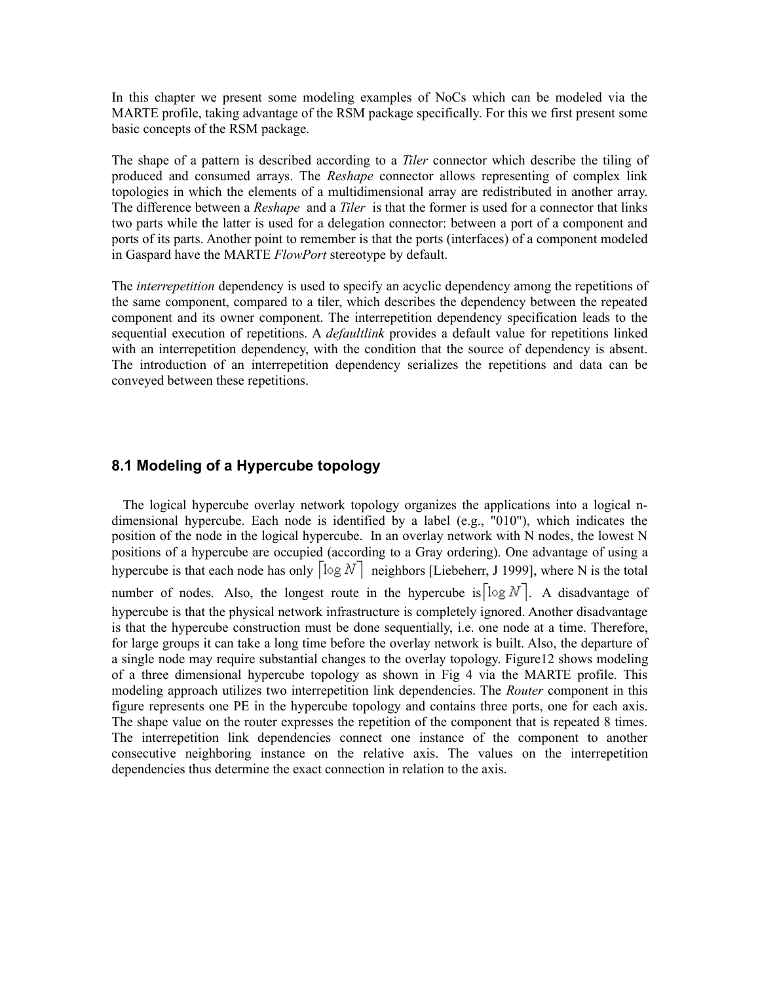In this chapter we present some modeling examples of NoCs which can be modeled via the MARTE profile, taking advantage of the RSM package specifically. For this we first present some basic concepts of the RSM package.

The shape of a pattern is described according to a *Tiler* connector which describe the tiling of produced and consumed arrays. The *Reshape* connector allows representing of complex link topologies in which the elements of a multidimensional array are redistributed in another array. The difference between a *Reshape* and a *Tiler* is that the former is used for a connector that links two parts while the latter is used for a delegation connector: between a port of a component and ports of its parts. Another point to remember is that the ports (interfaces) of a component modeled in Gaspard have the MARTE *FlowPort* stereotype by default.

The *interrepetition* dependency is used to specify an acyclic dependency among the repetitions of the same component, compared to a tiler, which describes the dependency between the repeated component and its owner component. The interrepetition dependency specification leads to the sequential execution of repetitions. A *defaultlink* provides a default value for repetitions linked with an interrepetition dependency, with the condition that the source of dependency is absent. The introduction of an interrepetition dependency serializes the repetitions and data can be conveyed between these repetitions.

#### **8.1 Modeling of a Hypercube topology**

The logical hypercube overlay network topology organizes the applications into a logical ndimensional hypercube. Each node is identified by a label (e.g., "010"), which indicates the position of the node in the logical hypercube. In an overlay network with N nodes, the lowest N positions of a hypercube are occupied (according to a Gray ordering). One advantage of using a hypercube is that each node has only  $\lceil \log N \rceil$  neighbors [Liebeherr, J 1999], where N is the total number of nodes. Also, the longest route in the hypercube is  $\lceil \log N \rceil$ . A disadvantage of hypercube is that the physical network infrastructure is completely ignored. Another disadvantage is that the hypercube construction must be done sequentially, i.e. one node at a time. Therefore, for large groups it can take a long time before the overlay network is built. Also, the departure of a single node may require substantial changes to the overlay topology. Figure12 shows modeling of a three dimensional hypercube topology as shown in Fig 4 via the MARTE profile. This modeling approach utilizes two interrepetition link dependencies. The *Router* component in this figure represents one PE in the hypercube topology and contains three ports, one for each axis. The shape value on the router expresses the repetition of the component that is repeated 8 times. The interrepetition link dependencies connect one instance of the component to another consecutive neighboring instance on the relative axis. The values on the interrepetition dependencies thus determine the exact connection in relation to the axis.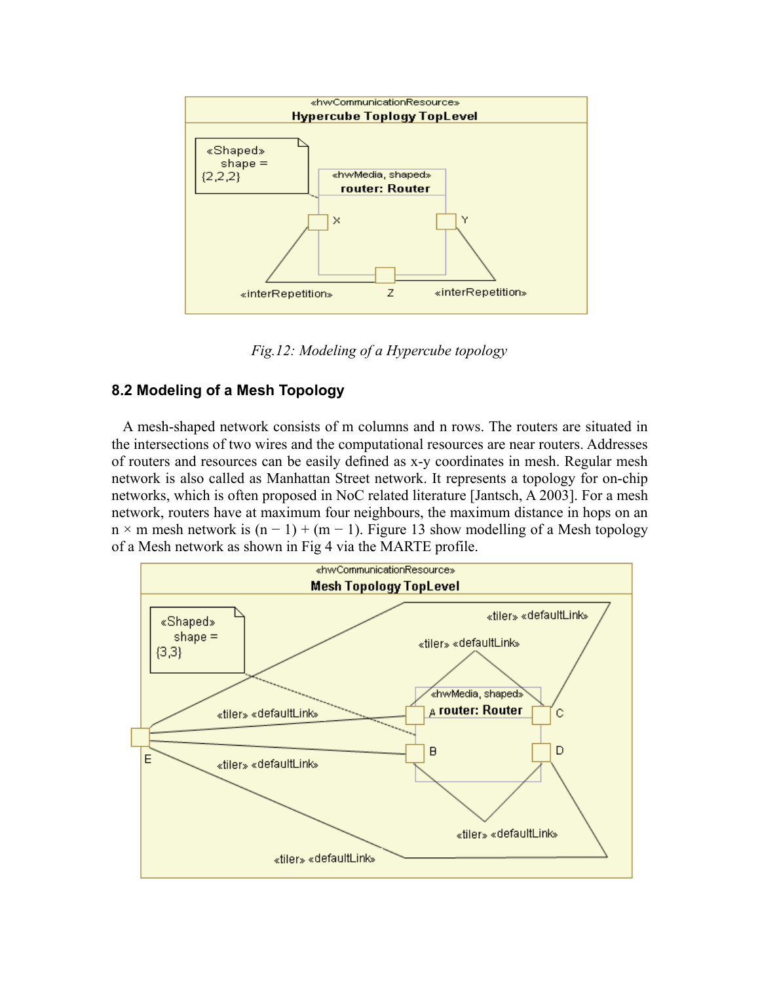

*Fig.12: Modeling of a Hypercube topology*

#### **8.2 Modeling of a Mesh Topology**

A mesh-shaped network consists of m columns and n rows. The routers are situated in the intersections of two wires and the computational resources are near routers. Addresses of routers and resources can be easily defined as x-y coordinates in mesh. Regular mesh network is also called as Manhattan Street network. It represents a topology for on-chip networks, which is often proposed in NoC related literature [Jantsch, A 2003]. For a mesh network, routers have at maximum four neighbours, the maximum distance in hops on an  $n \times m$  mesh network is  $(n - 1) + (m - 1)$ . Figure 13 show modelling of a Mesh topology of a Mesh network as shown in Fig 4 via the MARTE profile.

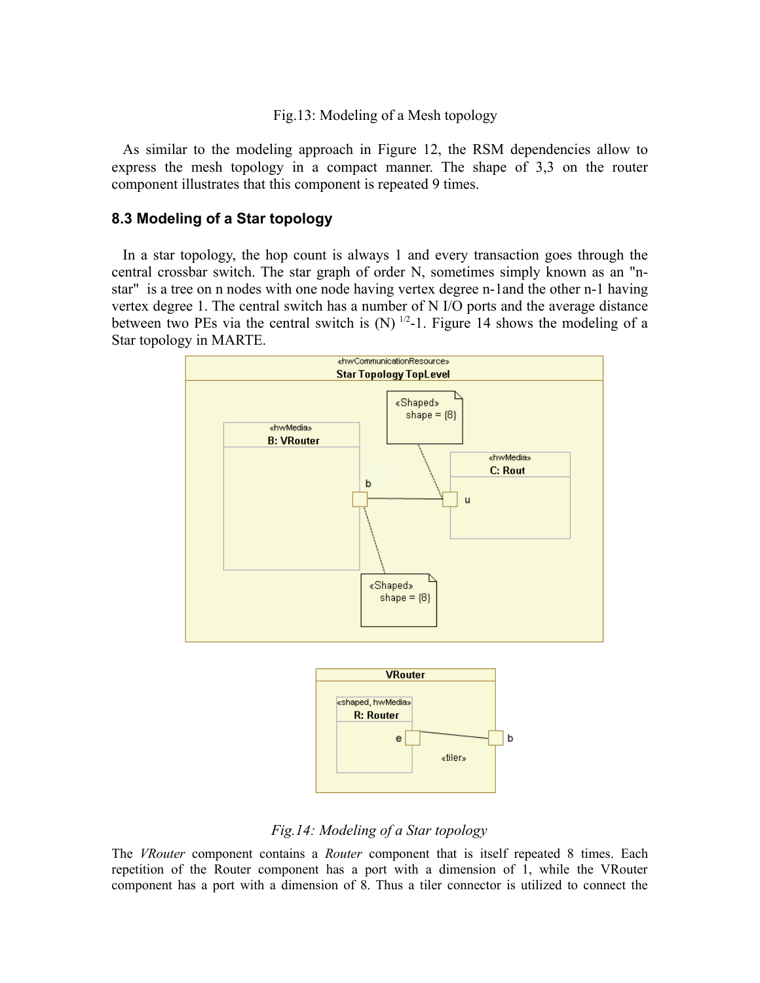#### Fig.13: Modeling of a Mesh topology

As similar to the modeling approach in Figure 12, the RSM dependencies allow to express the mesh topology in a compact manner. The shape of 3,3 on the router component illustrates that this component is repeated 9 times.

#### **8.3 Modeling of a Star topology**

In a star topology, the hop count is always 1 and every transaction goes through the central crossbar switch. The star graph of order N, sometimes simply known as an "nstar" is a [tree](http://mathworld.wolfram.com/Tree.html) on n nodes with one node having [vertex degree](http://mathworld.wolfram.com/VertexDegree.html) n-1and the other n-1 having [vertex degree](http://mathworld.wolfram.com/VertexDegree.html) 1. The central switch has a number of N I/O ports and the average distance between two PEs via the central switch is  $(N)$  <sup>1/2</sup>-1. Figure 14 shows the modeling of a Star topology in MARTE.





#### *Fig.14: Modeling of a Star topology*

The *VRouter* component contains a *Router* component that is itself repeated 8 times. Each repetition of the Router component has a port with a dimension of 1, while the VRouter component has a port with a dimension of 8. Thus a tiler connector is utilized to connect the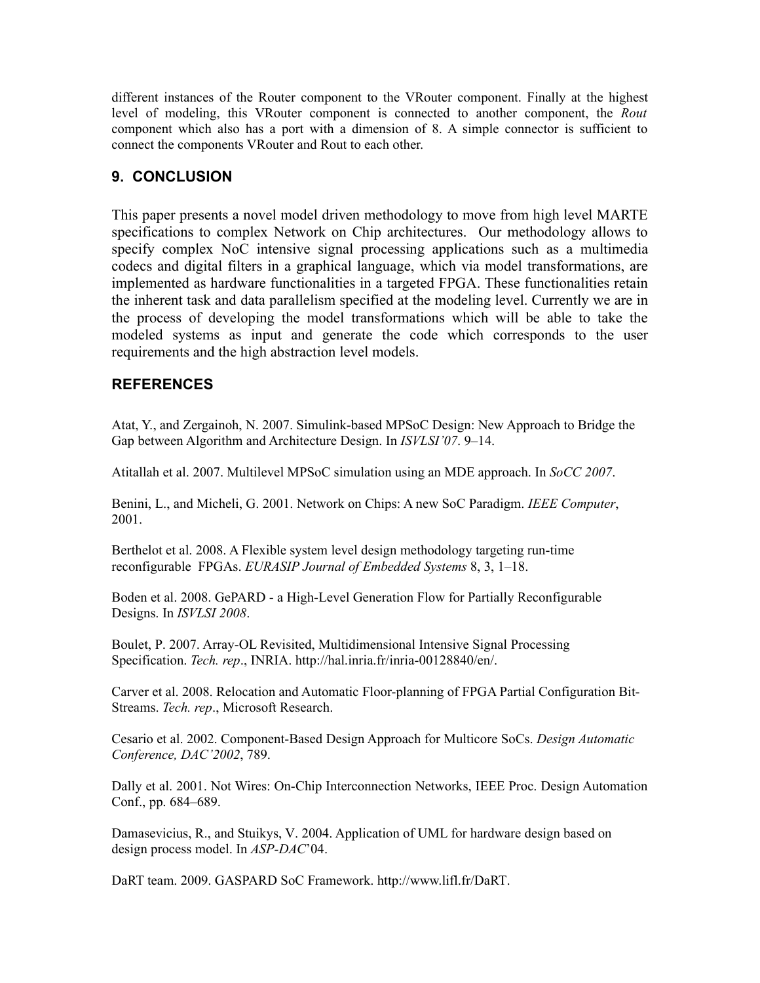different instances of the Router component to the VRouter component. Finally at the highest level of modeling, this VRouter component is connected to another component, the *Rout*  component which also has a port with a dimension of 8. A simple connector is sufficient to connect the components VRouter and Rout to each other.

# **9. CONCLUSION**

This paper presents a novel model driven methodology to move from high level MARTE specifications to complex Network on Chip architectures. Our methodology allows to specify complex NoC intensive signal processing applications such as a multimedia codecs and digital filters in a graphical language, which via model transformations, are implemented as hardware functionalities in a targeted FPGA. These functionalities retain the inherent task and data parallelism specified at the modeling level. Currently we are in the process of developing the model transformations which will be able to take the modeled systems as input and generate the code which corresponds to the user requirements and the high abstraction level models.

# **REFERENCES**

Atat, Y., and Zergainoh, N. 2007. Simulink-based MPSoC Design: New Approach to Bridge the Gap between Algorithm and Architecture Design. In *ISVLSI'07*. 9–14.

Atitallah et al. 2007. Multilevel MPSoC simulation using an MDE approach. In *SoCC 2007*.

Benini, L., and Micheli, G. 2001. Network on Chips: A new SoC Paradigm. *IEEE Computer*, 2001.

Berthelot et al. 2008. A Flexible system level design methodology targeting run-time reconfigurable FPGAs. *EURASIP Journal of Embedded Systems* 8, 3, 1–18.

Boden et al. 2008. GePARD - a High-Level Generation Flow for Partially Reconfigurable Designs. In *ISVLSI 2008*.

Boulet, P. 2007. Array-OL Revisited, Multidimensional Intensive Signal Processing Specification. *Tech. rep*., INRIA. http://hal.inria.fr/inria-00128840/en/.

Carver et al. 2008. Relocation and Automatic Floor-planning of FPGA Partial Configuration Bit-Streams. *Tech. rep*., Microsoft Research.

Cesario et al. 2002. Component-Based Design Approach for Multicore SoCs. *Design Automatic Conference, DAC'2002*, 789.

Dally et al. 2001. Not Wires: On-Chip Interconnection Networks, IEEE Proc. Design Automation Conf., pp. 684–689.

Damasevicius, R., and Stuikys, V. 2004. Application of UML for hardware design based on design process model. In *ASP-DAC*'04.

DaRT team. 2009. GASPARD SoC Framework. http://www.lifl.fr/DaRT.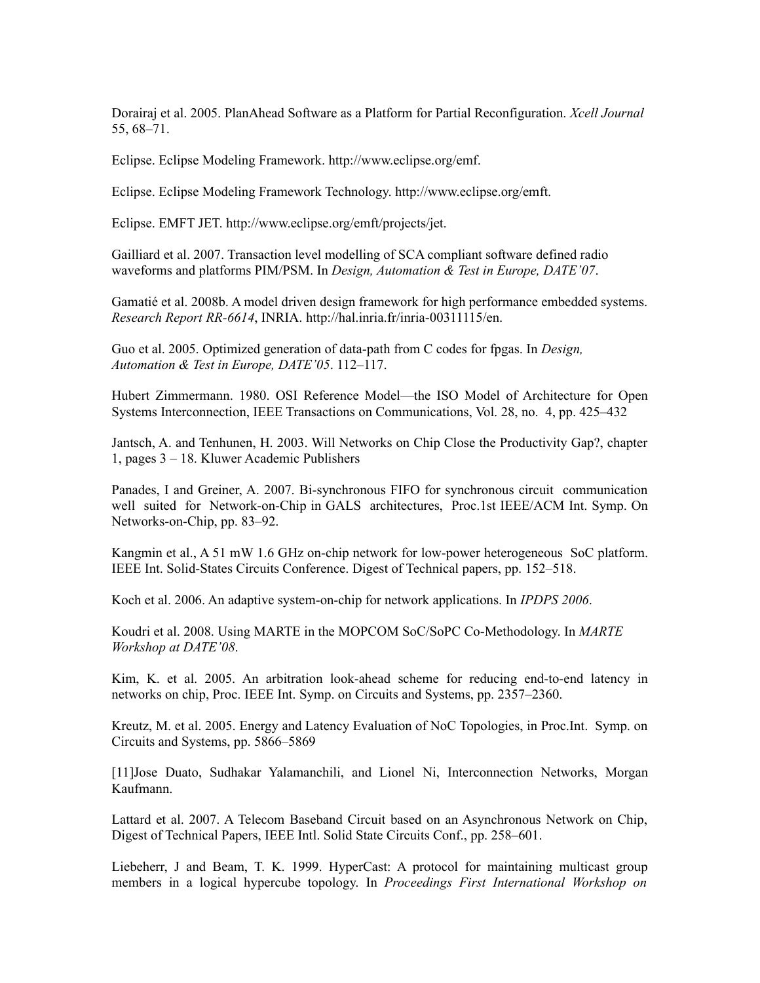Dorairaj et al. 2005. PlanAhead Software as a Platform for Partial Reconfiguration. *Xcell Journal*  55, 68–71.

Eclipse. Eclipse Modeling Framework. http://www.eclipse.org/emf.

Eclipse. Eclipse Modeling Framework Technology. http://www.eclipse.org/emft.

Eclipse. EMFT JET. http://www.eclipse.org/emft/projects/jet.

Gailliard et al. 2007. Transaction level modelling of SCA compliant software defined radio waveforms and platforms PIM/PSM. In *Design, Automation & Test in Europe, DATE'07*.

Gamatié et al. 2008b. A model driven design framework for high performance embedded systems. *Research Report RR-6614*, INRIA. http://hal.inria.fr/inria-00311115/en.

Guo et al. 2005. Optimized generation of data-path from C codes for fpgas. In *Design, Automation & Test in Europe, DATE'05*. 112–117.

Hubert Zimmermann. 1980. OSI Reference Model—the ISO Model of Architecture for Open Systems Interconnection, IEEE Transactions on Communications, Vol. 28, no. 4, pp. 425–432

Jantsch, A. and Tenhunen, H. 2003. Will Networks on Chip Close the Productivity Gap?, chapter 1, pages 3 – 18. Kluwer Academic Publishers

Panades, I and Greiner, A. 2007. Bi-synchronous FIFO for synchronous circuit communication well suited for Network-on-Chip in GALS architectures, Proc.1st IEEE/ACM Int. Symp. On Networks-on-Chip, pp. 83–92.

Kangmin et al., A 51 mW 1.6 GHz on-chip network for low-power heterogeneous SoC platform. IEEE Int. Solid-States Circuits Conference. Digest of Technical papers, pp. 152–518.

Koch et al. 2006. An adaptive system-on-chip for network applications. In *IPDPS 2006*.

Koudri et al. 2008. Using MARTE in the MOPCOM SoC/SoPC Co-Methodology. In *MARTE Workshop at DATE'08*.

Kim, K. et al. 2005. An arbitration look-ahead scheme for reducing end-to-end latency in networks on chip, Proc. IEEE Int. Symp. on Circuits and Systems, pp. 2357–2360.

Kreutz, M. et al. 2005. Energy and Latency Evaluation of NoC Topologies, in Proc.Int. Symp. on Circuits and Systems, pp. 5866–5869

[11]Jose Duato, Sudhakar Yalamanchili, and Lionel Ni, Interconnection Networks, Morgan Kaufmann.

Lattard et al. 2007. A Telecom Baseband Circuit based on an Asynchronous Network on Chip, Digest of Technical Papers, IEEE Intl. Solid State Circuits Conf., pp. 258–601.

Liebeherr, J and Beam, T. K. 1999. HyperCast: A protocol for maintaining multicast group members in a logical hypercube topology. In *Proceedings First International Workshop on*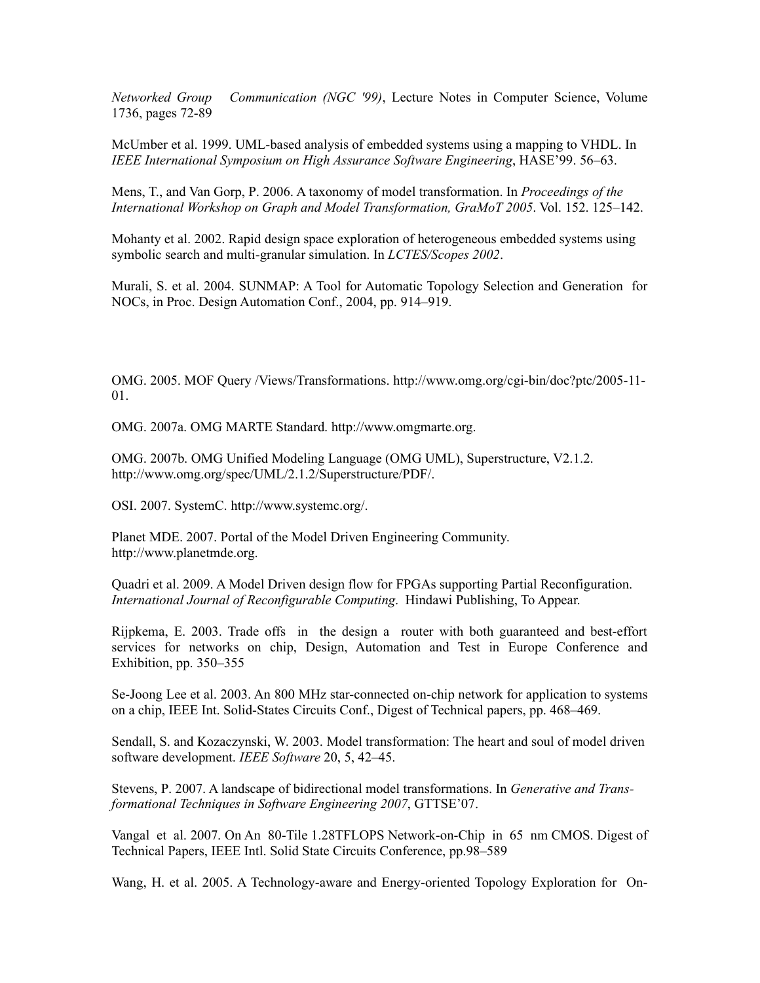*Networked Group Communication (NGC '99)*, Lecture Notes in Computer Science, Volume 1736, pages 72-89

McUmber et al. 1999. UML-based analysis of embedded systems using a mapping to VHDL. In *IEEE International Symposium on High Assurance Software Engineering*, HASE'99. 56–63.

Mens, T., and Van Gorp, P. 2006. A taxonomy of model transformation. In *Proceedings of the International Workshop on Graph and Model Transformation, GraMoT 2005*. Vol. 152. 125–142.

Mohanty et al. 2002. Rapid design space exploration of heterogeneous embedded systems using symbolic search and multi-granular simulation. In *LCTES/Scopes 2002*.

Murali, S. et al. 2004. SUNMAP: A Tool for Automatic Topology Selection and Generation for NOCs, in Proc. Design Automation Conf., 2004, pp. 914–919.

OMG. 2005. MOF Query /Views/Transformations. http://www.omg.org/cgi-bin/doc?ptc/2005-11- 01.

OMG. 2007a. OMG MARTE Standard. http://www.omgmarte.org.

OMG. 2007b. OMG Unified Modeling Language (OMG UML), Superstructure, V2.1.2. http://www.omg.org/spec/UML/2.1.2/Superstructure/PDF/.

OSI. 2007. SystemC. http://www.systemc.org/.

Planet MDE. 2007. Portal of the Model Driven Engineering Community. http://www.planetmde.org.

Quadri et al. 2009. A Model Driven design flow for FPGAs supporting Partial Reconfiguration. *International Journal of Reconfigurable Computing*. Hindawi Publishing, To Appear.

Rijpkema, E. 2003. Trade offs in the design a router with both guaranteed and best-effort services for networks on chip, Design, Automation and Test in Europe Conference and Exhibition, pp. 350–355

Se-Joong Lee et al. 2003. An 800 MHz star-connected on-chip network for application to systems on a chip, IEEE Int. Solid-States Circuits Conf., Digest of Technical papers, pp. 468–469.

Sendall, S. and Kozaczynski, W. 2003. Model transformation: The heart and soul of model driven software development. *IEEE Software* 20, 5, 42–45.

Stevens, P. 2007. A landscape of bidirectional model transformations. In *Generative and Transformational Techniques in Software Engineering 2007*, GTTSE'07.

Vangal et al. 2007. On An 80-Tile 1.28TFLOPS Network-on-Chip in 65 nm CMOS. Digest of Technical Papers, IEEE Intl. Solid State Circuits Conference, pp.98–589

Wang, H. et al. 2005. A Technology-aware and Energy-oriented Topology Exploration for On-